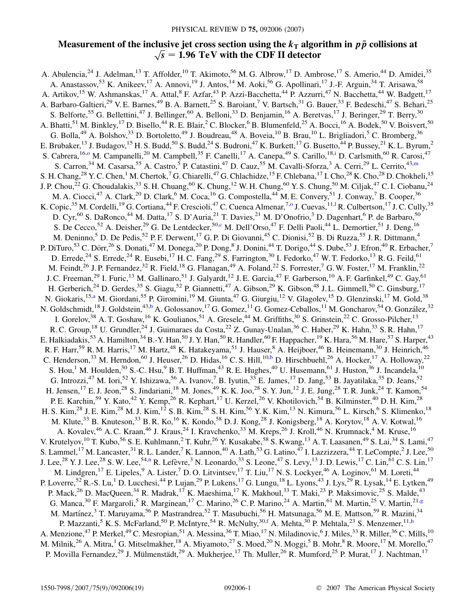# <span id="page-0-0"></span>**Measurement of the inclusive jet cross section using the**  $k<sub>T</sub>$  **algorithm in**  $p\bar{p}$  **collisions at**  $\sqrt{s} = 1.96 \text{ TeV}$  with the CDF II detector

A. Abulencia,<sup>24</sup> J. Adelman,<sup>13</sup> T. Affolder,<sup>10</sup> T. Akimoto,<sup>56</sup> M. G. Albrow,<sup>17</sup> D. Ambrose,<sup>17</sup> S. Amerio,<sup>44</sup> D. Amidei,<sup>35</sup> A. Anastassov,<sup>53</sup> K. Anikeev,<sup>17</sup> A. Annovi,<sup>19</sup> J. Antos,<sup>14</sup> M. Aoki,<sup>56</sup> G. Apollinari,<sup>17</sup> J.-F. Arguin,<sup>34</sup> T. Arisawa,<sup>58</sup> A. Artikov,<sup>15</sup> W. Ashmanskas,<sup>17</sup> A. Attal,<sup>8</sup> F. Azfar,<sup>43</sup> P. Azzi-Bacchetta,<sup>44</sup> P. Azzurri,<sup>47</sup> N. Bacchetta,<sup>44</sup> W. Badgett,<sup>17</sup> A. Barbaro-Galtieri,<sup>29</sup> V. E. Barnes,<sup>49</sup> B. A. Barnett,<sup>25</sup> S. Baroiant,<sup>7</sup> V. Bartsch,<sup>31</sup> G. Bauer,<sup>33</sup> F. Bedeschi,<sup>47</sup> S. Behari,<sup>25</sup> S. Belforte,<sup>55</sup> G. Bellettini,<sup>47</sup> J. Bellinger,<sup>60</sup> A. Belloni,<sup>33</sup> D. Benjamin,<sup>16</sup> A. Beretvas,<sup>17</sup> J. Beringer,<sup>29</sup> T. Berry,<sup>30</sup> A. Bhatti,<sup>51</sup> M. Binkley,<sup>17</sup> D. Bisello,<sup>44</sup> R. E. Blair,<sup>2</sup> C. Blocker,<sup>6</sup> B. Blumenfeld,<sup>25</sup> A. Bocci,<sup>16</sup> A. Bodek,<sup>50</sup> V. Boisvert,<sup>50</sup> G. Bolla,<sup>49</sup> A. Bolshov,<sup>33</sup> D. Bortoletto,<sup>49</sup> J. Boudreau,<sup>48</sup> A. Boveia,<sup>10</sup> B. Brau,<sup>10</sup> L. Brigliadori,<sup>5</sup> C. Bromberg,<sup>36</sup> E. Brubaker,<sup>13</sup> J. Budagov,<sup>15</sup> H. S. Budd,<sup>50</sup> S. Budd,<sup>24</sup> S. Budroni,<sup>47</sup> K. Burkett,<sup>17</sup> G. Busetto,<sup>44</sup> P. Bussey,<sup>21</sup> K. L. Byrum,<sup>2</sup> S. Cabrera,<sup>16,[o](#page-2-0)</sup> M. Campanelli,<sup>20</sup> M. Campbell,<sup>35</sup> F. Canelli,<sup>17</sup> A. Canepa,<sup>49</sup> S. Carillo,<sup>18[,i](#page-2-0)</sup> D. Carlsmith,<sup>60</sup> R. Carosi,<sup>47</sup> S. Carron,<sup>34</sup> M. Casarsa,<sup>55</sup> A. Castro,<sup>5</sup> P. Catastini,<sup>47</sup> D. Cauz,<sup>55</sup> M. Cavalli-Sforza,<sup>3</sup> A. Cerri,<sup>29</sup> L. Cerrito,<sup>43[,m](#page-2-0)</sup> S. H. Chang,<sup>28</sup> Y. C. Chen,<sup>1</sup> M. Chertok,<sup>7</sup> G. Chiarelli,<sup>47</sup> G. Chlachidze,<sup>15</sup> F. Chlebana,<sup>17</sup> I. Cho,<sup>28</sup> K. Cho,<sup>28</sup> D. Chokheli,<sup>15</sup> J. P. Chou,<sup>22</sup> G. Choudalakis,<sup>33</sup> S. H. Chuang,<sup>60</sup> K. Chung,<sup>12</sup> W. H. Chung,<sup>60</sup> Y. S. Chung,<sup>50</sup> M. Ciljak,<sup>47</sup> C. I. Ciobanu,<sup>24</sup> M. A. Ciocci,<sup>47</sup> A. Clark,<sup>20</sup> D. Clark,<sup>6</sup> M. Coca,<sup>16</sup> G. Compostella,<sup>44</sup> M. E. Convery,<sup>51</sup> J. Conway,<sup>7</sup> B. Cooper,<sup>36</sup> K. Copic,<sup>35</sup> M. Corde[l](#page-2-0)li,<sup>19</sup> G. Cortiana,<sup>44</sup> F. Crescioli,<sup>47</sup> C. Cuenca Almenar,<sup>7,0</sup> J. Cuevas,<sup>11,1</sup> R. Culbertson,<sup>17</sup> J. C. Cully,<sup>35</sup> D. Cyr,<sup>60</sup> S. DaRonco,<sup>44</sup> M. Datta,<sup>17</sup> S. D'Auria,<sup>21</sup> T. Davies,<sup>21</sup> M. D'Onofrio,<sup>3</sup> D. Dagenhart,<sup>6</sup> P. de Barbaro,<sup>50</sup> S. De Cecco,<sup>52</sup> A. Deisher,<sup>29</sup> G. De Lentdecker,<sup>50[,c](#page-2-0)</sup> M. Dell'Orso,<sup>47</sup> F. Delli Paoli,<sup>44</sup> L. Demortier,<sup>51</sup> J. Deng,<sup>16</sup> M. Deninno,<sup>5</sup> D. De Pedis,<sup>52</sup> P. F. Derwent,<sup>17</sup> G. P. Di Giovanni,<sup>45</sup> C. Dionisi,<sup>52</sup> B. Di Ruzza,<sup>55</sup> J. R. Dittmann,<sup>4</sup> P. DiTuro,<sup>53</sup> C. Dörr,<sup>26</sup> S. Donati,<sup>47</sup> M. Donega,<sup>20</sup> P. Dong,<sup>8</sup> J. Donini,<sup>44</sup> T. Dorigo,<sup>44</sup> S. Dube,<sup>53</sup> J. Efron,<sup>40</sup> R. Erbacher,<sup>7</sup> D. Errede,<sup>24</sup> S. Errede,<sup>24</sup> R. Eusebi,<sup>17</sup> H. C. Fang,<sup>29</sup> S. Farrington,<sup>30</sup> I. Fedorko,<sup>47</sup> W. T. Fedorko,<sup>13</sup> R. G. Feild,<sup>61</sup> M. Feindt,<sup>26</sup> J. P. Fernandez,<sup>32</sup> R. Field,<sup>18</sup> G. Flanagan,<sup>49</sup> A. Foland,<sup>22</sup> S. Forrester,<sup>7</sup> G. W. Foster,<sup>17</sup> M. Franklin,<sup>22</sup> J. C. Freeman,<sup>29</sup> I. Furic,<sup>13</sup> M. Gallinaro,<sup>51</sup> J. Galyardt,<sup>12</sup> J. E. Garcia,<sup>47</sup> F. Garberson,<sup>10</sup> A. F. Garfinkel,<sup>49</sup> C. Gay,<sup>61</sup> H. Gerberich,<sup>24</sup> D. Gerdes,<sup>35</sup> S. Giagu,<sup>52</sup> P. Giannetti,<sup>47</sup> A. Gibson,<sup>29</sup> K. Gibson,<sup>48</sup> J. L. Gimmell,<sup>50</sup> C. Ginsburg,<sup>17</sup> N. Giokaris,<sup>15[,a](#page-2-0)</sup> M. Giordani,<sup>55</sup> P. Giromini,<sup>19</sup> M. Giunta,<sup>47</sup> G. Giurgiu,<sup>12</sup> V. Glagolev,<sup>15</sup> D. Glenzinski,<sup>17</sup> M. Gold,<sup>38</sup> N. Goldschmidt,<sup>18</sup> J. Goldstein,<sup>43,[b](#page-2-0)</sup> A. Golossanov,<sup>17</sup> G. Gomez,<sup>11</sup> G. Gomez-Ceballos,<sup>11</sup> M. Goncharov,<sup>54</sup> O. González,<sup>32</sup> I. Gorelov,<sup>38</sup> A. T. Goshaw,<sup>16</sup> K. Goulianos,<sup>51</sup> A. Gresele,<sup>44</sup> M. Griffiths,<sup>30</sup> S. Grinstein,<sup>22</sup> C. Grosso-Pilcher,<sup>13</sup> R. C. Group,<sup>18</sup> U. Grundler,<sup>24</sup> J. Guimaraes da Costa,<sup>22</sup> Z. Gunay-Unalan,<sup>36</sup> C. Haber,<sup>29</sup> K. Hahn,<sup>33</sup> S. R. Hahn,<sup>17</sup> E. Halkiadakis,<sup>53</sup> A. Hamilton,<sup>34</sup> B.-Y. Han,<sup>50</sup> J. Y. Han,<sup>50</sup> R. Handler,<sup>60</sup> F. Happacher,<sup>19</sup> K. Hara,<sup>56</sup> M. Hare,<sup>57</sup> S. Harper,<sup>43</sup> R. F. Harr,<sup>59</sup> R. M. Harris,<sup>17</sup> M. Hartz,<sup>48</sup> K. Hatakeyama,<sup>51</sup> J. Hauser,<sup>8</sup> A. Heijboer,<sup>46</sup> B. Heinemann,<sup>30</sup> J. Heinrich,<sup>46</sup> C. Henderson,<sup>33</sup> M. Herndon,<sup>60</sup> J. Heuser,<sup>26</sup> D. Hidas,<sup>16</sup> C. S. Hill,<sup>10[,b](#page-2-0)</sup> D. Hirschbuehl,<sup>26</sup> A. Hocker,<sup>17</sup> A. Holloway,<sup>22</sup> S. Hou,<sup>1</sup> M. Houlden,<sup>30</sup> S.-C. Hsu,<sup>9</sup> B. T. Huffman,<sup>43</sup> R. E. Hughes,<sup>40</sup> U. Husemann,<sup>61</sup> J. Huston,<sup>36</sup> J. Incandela,<sup>10</sup> G. Introzzi,<sup>47</sup> M. Iori,<sup>52</sup> Y. Ishizawa,<sup>56</sup> A. Ivanov,<sup>7</sup> B. Iyutin,<sup>33</sup> E. James,<sup>17</sup> D. Jang,<sup>53</sup> B. Jayatilaka,<sup>35</sup> D. Jeans,<sup>52</sup> H. Jensen,<sup>17</sup> E. J. Jeon,<sup>28</sup> S. Jindariani,<sup>18</sup> M. Jones,<sup>49</sup> K. K. Joo,<sup>28</sup> S. Y. Jun,<sup>12</sup> J. E. Jung,<sup>28</sup> T. R. Junk,<sup>24</sup> T. Kamon,<sup>54</sup> P. E. Karchin,<sup>59</sup> Y. Kato,<sup>42</sup> Y. Kemp,<sup>26</sup> R. Kephart,<sup>17</sup> U. Kerzel,<sup>26</sup> V. Khotilovich,<sup>54</sup> B. Kilminster,<sup>40</sup> D. H. Kim,<sup>28</sup> H. S. Kim,<sup>28</sup> J. E. Kim,<sup>28</sup> M. J. Kim,<sup>12</sup> S. B. Kim,<sup>28</sup> S. H. Kim,<sup>56</sup> Y. K. Kim,<sup>13</sup> N. Kimura,<sup>56</sup> L. Kirsch,<sup>6</sup> S. Klimenko,<sup>18</sup> M. Klute,<sup>33</sup> B. Knuteson,<sup>33</sup> B. R. Ko,<sup>16</sup> K. Kondo,<sup>58</sup> D. J. Kong,<sup>28</sup> J. Konigsberg,<sup>18</sup> A. Korytov,<sup>18</sup> A. V. Kotwal,<sup>16</sup> A. Kovalev,<sup>46</sup> A. C. Kraan,<sup>46</sup> J. Kraus,<sup>24</sup> I. Kravchenko,<sup>33</sup> M. Kreps,<sup>26</sup> J. Kroll,<sup>46</sup> N. Krumnack,<sup>4</sup> M. Kruse,<sup>16</sup> V. Krutelyov,<sup>10</sup> T. Kubo,<sup>56</sup> S. E. Kuhlmann,<sup>2</sup> T. Kuhr,<sup>26</sup> Y. Kusakabe,<sup>58</sup> S. Kwang,<sup>13</sup> A. T. Laasanen,<sup>49</sup> S. Lai,<sup>34</sup> S. Lami,<sup>47</sup> S. Lammel,<sup>17</sup> M. Lancaster,<sup>31</sup> R. L. Lander,<sup>7</sup> K. Lannon,<sup>40</sup> A. Lath,<sup>53</sup> G. Latino,<sup>47</sup> I. Lazzizzera,<sup>44</sup> T. LeCompte,<sup>2</sup> J. Lee,<sup>50</sup> J. Lee,<sup>28</sup> Y. J. Lee,<sup>28</sup> S. W. Lee,<sup>54,[n](#page-2-0)</sup> R. Lefèvre,<sup>3</sup> N. Leonardo,<sup>33</sup> S. Leone,<sup>47</sup> S. Levy,<sup>13</sup> J. D. Lewis,<sup>17</sup> C. Lin,<sup>61</sup> C. S. Lin,<sup>17</sup> M. Lindgren,<sup>17</sup> E. Lipeles,<sup>9</sup> A. Lister,<sup>7</sup> D. O. Litvintsev,<sup>17</sup> T. Liu,<sup>17</sup> N. S. Lockyer,<sup>46</sup> A. Loginov,<sup>61</sup> M. Loreti,<sup>44</sup> P. Loverre,<sup>52</sup> R.-S. Lu,<sup>1</sup> D. Lucchesi,<sup>44</sup> P. Lujan,<sup>29</sup> P. Lukens,<sup>17</sup> G. Lungu,<sup>18</sup> L. Lyons,<sup>43</sup> J. Lys,<sup>29</sup> R. Lysak,<sup>14</sup> E. Lytken,<sup>49</sup> P. Mack,<sup>26</sup> D. MacQueen,<sup>34</sup> R. Madrak,<sup>17</sup> K. Maeshima,<sup>17</sup> K. Makhoul,<sup>33</sup> T. Maki,<sup>23</sup> P. Maksimovic,<sup>25</sup> S. Malde,<sup>43</sup> G. Manca,<sup>30</sup> F. Mar[g](#page-2-0)aroli,<sup>5</sup> R. Marginean,<sup>17</sup> C. Marino,<sup>26</sup> C. P. Marino,<sup>24</sup> A. Martin,<sup>61</sup> M. Martin,<sup>25</sup> V. Martin,<sup>21,g</sup> M. Martínez,<sup>3</sup> T. Maruyama,<sup>56</sup> P. Mastrandrea,<sup>52</sup> T. Masubuchi,<sup>56</sup> H. Matsunaga,<sup>56</sup> M. E. Mattson,<sup>59</sup> R. Mazini,<sup>34</sup> P. Mazzanti,<sup>5</sup> K. S. McFarland,<sup>50</sup> P. McIntyre,<sup>54</sup> R. McNulty,<sup>30,[f](#page-2-0)</sup> A. Me[h](#page-2-0)ta,<sup>30</sup> P. Mehtala,<sup>23</sup> S. Menzemer,<sup>11,h</sup> A. Menzione,<sup>47</sup> P. Merkel,<sup>49</sup> C. Mesropian,<sup>51</sup> A. Messina,<sup>36</sup> T. Miao,<sup>17</sup> N. Miladinovic,<sup>6</sup> J. Miles,<sup>33</sup> R. Miller,<sup>36</sup> C. Mills,<sup>10</sup> M. Milnik,<sup>26</sup> A. Mitra,<sup>1</sup> G. Mitselmakher,<sup>18</sup> A. Miyamoto,<sup>27</sup> S. Moed,<sup>20</sup> N. Moggi,<sup>5</sup> B. Mohr,<sup>8</sup> R. Moore,<sup>17</sup> M. Morello,<sup>47</sup> P. Movilla Fernandez,<sup>29</sup> J. Mülmenstädt,<sup>29</sup> A. Mukherjee,<sup>17</sup> Th. Muller,<sup>26</sup> R. Mumford,<sup>25</sup> P. Murat,<sup>17</sup> J. Nachtman,<sup>17</sup>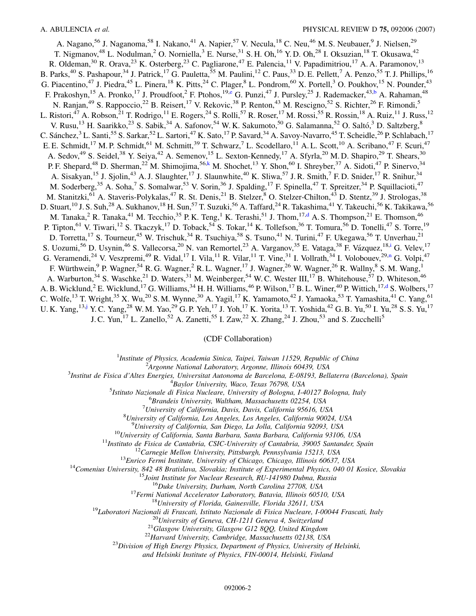<span id="page-1-0"></span>A. Nagano,<sup>56</sup> J. Naganoma,<sup>58</sup> I. Nakano,<sup>41</sup> A. Napier,<sup>57</sup> V. Necula,<sup>18</sup> C. Neu,<sup>46</sup> M. S. Neubauer,<sup>9</sup> J. Nielsen,<sup>29</sup> T. Nigmanov,<sup>48</sup> L. Nodulman,<sup>2</sup> O. Norniella,<sup>3</sup> E. Nurse,<sup>31</sup> S. H. Oh,<sup>16</sup> Y. D. Oh,<sup>28</sup> I. Oksuzian,<sup>18</sup> T. Okusawa,<sup>42</sup> R. Oldeman,<sup>30</sup> R. Orava,<sup>23</sup> K. Osterberg,<sup>23</sup> C. Pagliarone,<sup>47</sup> E. Palencia,<sup>11</sup> V. Papadimitriou,<sup>17</sup> A. A. Paramonov,<sup>13</sup> B. Parks,<sup>40</sup> S. Pashapour,<sup>34</sup> J. Patrick,<sup>17</sup> G. Pauletta,<sup>55</sup> M. Paulini,<sup>12</sup> C. Paus,<sup>33</sup> D. E. Pellett,<sup>7</sup> A. Penzo,<sup>55</sup> T. J. Phillips,<sup>16</sup> G. Piacentino,<sup>47</sup> J. Piedra,<sup>45</sup> L. Pinera,<sup>18</sup> K. Pitts,<sup>24</sup> C. Plager,<sup>8</sup> L. Pondrom,<sup>60</sup> X. Portell,<sup>3</sup> O. Poukhov,<sup>15</sup> N. Pounder,<sup>43</sup> F. Prakoshyn,<sup>15</sup> A. Pronko,<sup>17</sup> J. Proudfoot,<sup>2</sup> F. Ptohos,<sup>19,[e](#page-2-0)</sup> G. Punzi,<sup>47</sup> J. Pursley,<sup>25</sup> J. Rademacker,<sup>43,[b](#page-2-0)</sup> A. Rahaman,<sup>48</sup> N. Ranjan,<sup>49</sup> S. Rappoccio,<sup>22</sup> B. Reisert,<sup>17</sup> V. Rekovic,<sup>38</sup> P. Renton,<sup>43</sup> M. Rescigno,<sup>52</sup> S. Richter,<sup>26</sup> F. Rimondi,<sup>5</sup> L. Ristori,<sup>47</sup> A. Robson,<sup>21</sup> T. Rodrigo,<sup>11</sup> E. Rogers,<sup>24</sup> S. Rolli,<sup>57</sup> R. Roser,<sup>17</sup> M. Rossi,<sup>55</sup> R. Rossin,<sup>18</sup> A. Ruiz,<sup>11</sup> J. Russ,<sup>12</sup> V. Rusu,<sup>13</sup> H. Saarikko,<sup>23</sup> S. Sabik,<sup>34</sup> A. Safonov,<sup>54</sup> W.K. Sakumoto,<sup>50</sup> G. Salamanna,<sup>52</sup> O. Saltó,<sup>3</sup> D. Saltzberg,<sup>8</sup> C. Sánchez,<sup>3</sup> L. Santi,<sup>55</sup> S. Sarkar,<sup>52</sup> L. Sartori,<sup>47</sup> K. Sato,<sup>17</sup> P. Savard,<sup>34</sup> A. Savoy-Navarro,<sup>45</sup> T. Scheidle,<sup>26</sup> P. Schlabach,<sup>17</sup> E. E. Schmidt,<sup>17</sup> M. P. Schmidt,<sup>61</sup> M. Schmitt,<sup>39</sup> T. Schwarz,<sup>7</sup> L. Scodellaro,<sup>11</sup> A. L. Scott,<sup>10</sup> A. Scribano,<sup>47</sup> F. Scuri,<sup>47</sup> A. Sedov,<sup>49</sup> S. Seidel,<sup>38</sup> Y. Seiya,<sup>42</sup> A. Semenov,<sup>15</sup> L. Sexton-Kennedy,<sup>17</sup> A. Sfyrla,<sup>20</sup> M. D. Shapiro,<sup>29</sup> T. Shears,<sup>30</sup> P. F. Shepard,<sup>48</sup> D. Sherman,<sup>22</sup> M. Shimojima,<sup>56[,k](#page-2-0)</sup> M. Shochet,<sup>13</sup> Y. Shon,<sup>60</sup> I. Shreyber,<sup>37</sup> A. Sidoti,<sup>47</sup> P. Sinervo,<sup>34</sup> A. Sisakyan,<sup>15</sup> J. Sjolin,<sup>43</sup> A. J. Slaughter,<sup>17</sup> J. Slaunwhite,<sup>40</sup> K. Sliwa,<sup>57</sup> J. R. Smith,<sup>7</sup> F. D. Snider,<sup>17</sup> R. Snihur,<sup>34</sup> M. Soderberg,<sup>35</sup> A. Soha,<sup>7</sup> S. Somalwar,<sup>53</sup> V. Sorin,<sup>36</sup> J. Spalding,<sup>17</sup> F. Spinella,<sup>47</sup> T. Spreitzer,<sup>34</sup> P. Squillacioti,<sup>47</sup> M. Stanitzki,<sup>61</sup> A. Staveris-Polykalas,<sup>47</sup> R. St. Denis,<sup>21</sup> B. Stelzer,<sup>8</sup> O. Stelzer-Chilton,<sup>43</sup> D. Stentz,<sup>39</sup> J. Strologas,<sup>38</sup> D. Stuart,<sup>10</sup> J. S. Suh,<sup>28</sup> A. Sukhanov,<sup>18</sup> H. Sun,<sup>57</sup> T. Suzuki,<sup>56</sup> A. Taffard,<sup>24</sup> R. Takashima,<sup>41</sup> Y. Takeuchi,<sup>56</sup> K. Takikawa,<sup>56</sup> M. Tanaka,<sup>2</sup> R. Tanaka,<sup>41</sup> M. Tecchio,<sup>35</sup> P. K. Teng,<sup>1</sup> K. Terashi,<sup>51</sup> J. Thom,<sup>17[,d](#page-2-0)</sup> A. S. Thompson,<sup>21</sup> E. Thomson,<sup>46</sup> P. Tipton,<sup>61</sup> V. Tiwari,<sup>12</sup> S. Tkaczyk,<sup>17</sup> D. Toback,<sup>54</sup> S. Tokar,<sup>14</sup> K. Tollefson,<sup>36</sup> T. Tomura,<sup>56</sup> D. Tonelli,<sup>47</sup> S. Torre,<sup>19</sup> D. Torretta,<sup>17</sup> S. Tourneur,<sup>45</sup> W. Trischuk,<sup>34</sup> R. Tsuchiya,<sup>58</sup> S. Tsuno,<sup>41</sup> N. Turini,<sup>47</sup> F. Ukegawa,<sup>56</sup> T. Unverhau,<sup>21</sup> S. Uozum[i](#page-2-0),<sup>56</sup> D. Usynin,<sup>46</sup> S. Vallecorsa,<sup>20</sup> N. van Remortel,<sup>23</sup> A. Varganov,<sup>35</sup> E. Vataga,<sup>38</sup> F. Vázquez,<sup>18,i</sup> G. Velev,<sup>17</sup> G. Veramendi,<sup>24</sup> V. Veszpremi,<sup>49</sup> R. Vidal,<sup>17</sup> I. Vila,<sup>11</sup> R. Vilar,<sup>11</sup> T. Vine,<sup>31</sup> I. Vollrath,<sup>34</sup> I. Volobouev,<sup>29[,n](#page-2-0)</sup> G. Volpi,<sup>47</sup> F. Würthwein,  $9 \text{ P. Wagner}_5^{54}$  R. G. Wagner,  $26 \text{ R. L. Wagner}_1^{17}$  J. Wagner,  $26 \text{ W. Wagner}_2^{26}$  R. Wallny,  $8 \text{ S. M. Wang}_1^{17}$ A. Warburton,<sup>34</sup> S. Waschke,<sup>21</sup> D. Waters,<sup>31</sup> M. Weinberger,<sup>54</sup> W. C. Wester III,<sup>17</sup> B. Whitehouse,<sup>57</sup> D. Whiteson,<sup>46</sup> A. B. Wicklun[d](#page-2-0),<sup>2</sup> E. Wicklund,<sup>17</sup> G. Williams,<sup>34</sup> H. H. Williams,<sup>46</sup> P. Wilson,<sup>17</sup> B. L. Winer,<sup>40</sup> P. Wittich,<sup>17,d</sup> S. Wolbers,<sup>17</sup> C. Wolfe,<sup>13</sup> T. Wright,<sup>35</sup> X. Wu,<sup>20</sup> S. M. Wynne,<sup>30</sup> A. Yagil,<sup>17</sup> K. Yamamoto,<sup>42</sup> J. Yamaoka,<sup>53</sup> T. Yamashita,<sup>41</sup> C. Yang,<sup>61</sup> U. K. Yang,  $^{13}$  y. C. Yang,  $^{28}$  W. M. Yao,  $^{29}$  G. P. Yeh,  $^{17}$  J. Yoh,  $^{17}$  K. Yorita,  $^{13}$  T. Yoshida,  $^{42}$  G. B. Yu,  $^{50}$  I. Yu,  $^{28}$  S. S. Yu,  $^{17}$ J. C. Yun,  $^{17}$  L. Zanello,  $^{52}$  A. Zanetti,  $^{55}$  I. Zaw,  $^{22}$  X. Zhang,  $^{24}$  J. Zhou,  $^{53}$  and S. Zucchelli<sup>5</sup>

## (CDF Collaboration)

<sup>1</sup>*Institute of Physics, Academia Sinica, Taipei, Taiwan 11529, Republic of China*<br><sup>2</sup><sup>4</sup> *League Mational Laboratory, Argonna Illinois 60430, USA* 

*Argonne National Laboratory, Argonne, Illinois 60439, USA* <sup>3</sup>

*Institut de Fisica d'Altes Energies, Universitat Autonoma de Barcelona, E-08193, Bellaterra (Barcelona), Spain* <sup>4</sup>

<sup>4</sup>Baylor University, Waco, Texas 76798, USA<br><sup>5</sup> Istitute Nazionale di Fisica Nucleare, University of Bologna, La

*Istituto Nazionale di Fisica Nucleare, University of Bologna, I-40127 Bologna, Italy* <sup>6</sup>

*Brandeis University, Waltham, Massachusetts 02254, USA* <sup>7</sup>

*University of California, Davis, Davis, California 95616, USA* <sup>8</sup>

*University of California, Los Angeles, Los Angeles, California 90024, USA* <sup>9</sup>

 $^{9}$ University of California, San Diego, La Jolla, California 92093, USA<br>  $^{10}$ University of California, Santa Barbara, Santa Barbara, California 93106, USA<br>  $^{11}$ Instituto de Fisica de Cantabria, CSIC-University of Ca

*and Helsinki Institute of Physics, FIN-00014, Helsinki, Finland*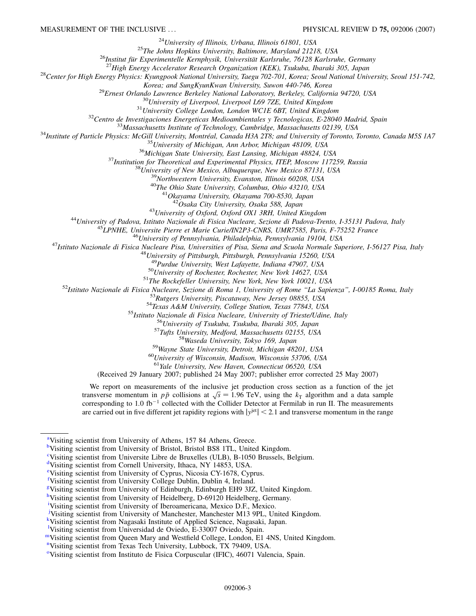<span id="page-2-0"></span><sup>24</sup>University of Illinois, Urbana, Illinois 61801, USA<br><sup>25</sup>The Johns Hopkins University, Baltimore, Maryland 21218, USA<br><sup>26</sup>Institut für Experimentelle Kernphysik, Universität Karlsruhe, 76128 Karlsruhe, Germany<br><sup>27</sup>High

*Solendo Lowrence Berkeley Nativersity, Suvon 440-746, Korea*<br>
<sup>29</sup> *Ernest Orlando Lawrence Berkeley National Laboratory, Berkeley, California 94720, USA*<br>
<sup>30</sup> *University of Liverpool, Liverpool L69 7ZE, United Kingdom* 

<sup>41</sup>Okayama University, Okayama 700-8530, Japan<br><sup>42</sup>Osaka City University, Osaka 588, Japan<br><sup>43</sup>University of Padova, Istituto Nazionale di Fisica Nucleare, Sezione di Padova-Trento, I-35131 Padova, Italy<br><sup>45</sup>LPNHE, Unive

 $\begin{array}{r} \text{^{50}University of Rochester, Rochester, New York 14627, USA}\\ \text{^{51}The Rockefeller University, New York, New York 10021, USA}\\ \text{^{52}Istituto Nazionale di Fisica Nucleare, Sezione di Roma 1, University of Rome ``La Sapienza'', I-00185 Roma, Italy\\ \text{^{53}Rutgers University, Piscataway, New Jersey 08855, USA}\\ \text{^{54}Texas A&M University, College Station, Texas 77843, USA\\ \text{^{55}Istituto Nazionale di Fisica Nucleare, University of Trieste/Udine, Italy\\ \text{^{56}University of Tsukuba, Isbark, Bakachusetts 02155, USA}\\ \$ 

<sup>61</sup>*Yale University, New Haven, Connecticut 06520, USA*

(Received 29 January 2007; published 24 May 2007; publisher error corrected 25 May 2007)

We report on measurements of the inclusive jet production cross section as a function of the jet we report on measurements of the inclusive jet production cross section as a function of the jet<br>transverse momentum in  $p\bar{p}$  collisions at  $\sqrt{s} = 1.96$  TeV, using the  $k<sub>T</sub>$  algorithm and a data sample corresponding to 1.0 fb<sup>-1</sup> collected with the Collider Detector at Fermilab in run II. The measurements are carried out in five different jet rapidity regions with  $|y^{jet}| < 2.1$  and transverse momentum in the range

- [i](#page-0-0) Visiting scientist from University of Iberoamericana, Mexico D.F., Mexico.
- Visiting scientist from University of Manchester, Manchester M13 9PL, United Kingdom.
- [k](#page-1-0) Visiting scientist from Nagasaki Institute of Applied Science, Nagasaki, Japan.

<sup>&</sup>lt;sup>[a](#page-0-0)</sup>Visiting scientist from University of Athens, 157 84 Athens, Greece.

**[b](#page-0-0)**Visiting scientist from University of Bristol, Bristol BS8 1TL, United Kingdom.

[c](#page-0-0) Visiting scientist from Universite Libre de Bruxelles (ULB), B-1050 Brussels, Belgium.

[d](#page-1-0)Visiting scientist from Cornell University, Ithaca, NY 14853, USA.

[e](#page-1-0) Visiting scientist from University of Cyprus, Nicosia CY-1678, Cyprus.

[f](#page-0-0) Visiting scientist from University College Dublin, Dublin 4, Ireland.

[g](#page-0-0) Visiting scientist from University of Edinburgh, Edinburgh EH9 3JZ, United Kingdom.

<sup>&</sup>lt;sup>[h](#page-0-0)</sup>Visiting scientist from University of Heidelberg, D-69120 Heidelberg, Germany.

<sup>&</sup>lt;sup>1</sup>Visiting scientist from Universidad de Oviedo, E-33007 Oviedo, Spain.

[mV](#page-0-0)isiting scientist from Queen Mary and Westfield College, London, E1 4NS, United Kingdom.

<sup>&</sup>lt;sup>[n](#page-0-0)</sup>Visiting scientist from Texas Tech University, Lubbock, TX 79409, USA.

<sup>&</sup>lt;sup>[o](#page-0-0)</sup>Visiting scientist from Instituto de Fisica Corpuscular (IFIC), 46071 Valencia, Spain.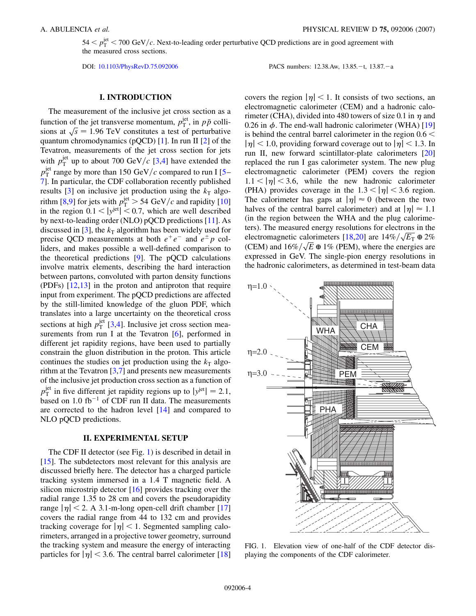$54 < p_T^{\text{jet}} < 700 \text{ GeV}/c$ . Next-to-leading order perturbative QCD predictions are in good agreement with the measured cross sections.

DOI: [10.1103/PhysRevD.75.092006](http://dx.doi.org/10.1103/PhysRevD.75.092006)

t, 13.87.-a

### **I. INTRODUCTION**

The measurement of the inclusive jet cross section as a function of the jet transverse momentum,  $p_T^{\text{jet}}$ , in  $p\bar{p}$  collifunction of the jet transverse momentum,  $p_{\text{T}}$ , in pp com-<br>sions at  $\sqrt{s} = 1.96 \text{ TeV}$  constitutes a test of perturbative quantum chromodynamics (pQCD) [\[1\]](#page-17-0). In run II [\[2\]](#page-17-0) of the Tevatron, measurements of the jet cross section for jets with  $p_T^{\text{jet}}$  up to about 700 GeV/c [\[3](#page-17-0),[4](#page-17-0)] have extended the  $p_T^{\text{jet}}$  range by more than 1[5](#page-17-0)0 GeV/c compared to run I [5– [7](#page-17-0)]. In particular, the CDF collaboration recently published results  $[3]$  $[3]$  on inclusive jet production using the  $k<sub>T</sub>$  algo-rithm [[8,9\]](#page-17-0) for jets with  $p_T^{\text{jet}} > 54 \text{ GeV}/c$  and rapidity [\[10\]](#page-17-0) in the region  $0.1 < |y^{jet}| < 0.7$ , which are well described by next-to-leading order (NLO) pQCD predictions [[11](#page-17-0)]. As discussed in [[3\]](#page-17-0), the  $k<sub>T</sub>$  algorithm has been widely used for precise QCD measurements at both  $e^+e^-$  and  $e^{\pm}p$  colliders, and makes possible a well-defined comparison to the theoretical predictions  $[9]$  $[9]$ . The pQCD calculations involve matrix elements, describing the hard interaction between partons, convoluted with parton density functions (PDFs) [[12](#page-17-0),[13](#page-17-0)] in the proton and antiproton that require input from experiment. The pQCD predictions are affected by the still-limited knowledge of the gluon PDF, which translates into a large uncertainty on the theoretical cross sections at high  $p_T^{\text{jet}}$  [[3](#page-17-0),[4\]](#page-17-0). Inclusive jet cross section mea-surements from run I at the Tevatron [[6](#page-17-0)], performed in different jet rapidity regions, have been used to partially constrain the gluon distribution in the proton. This article continues the studies on jet production using the  $k<sub>T</sub>$  algorithm at the Tevatron  $[3,7]$  $[3,7]$  and presents new measurements of the inclusive jet production cross section as a function of  $p_{\rm T}^{\rm jet}$  in five different jet rapidity regions up to  $|y^{\rm jet}| = 2.1$ , based on 1.0 fb<sup>-1</sup> of CDF run II data. The measurements are corrected to the hadron level [[14](#page-17-0)] and compared to NLO pQCD predictions.

## **II. EXPERIMENTAL SETUP**

The CDF II detector (see Fig. 1) is described in detail in [\[15\]](#page-17-0). The subdetectors most relevant for this analysis are discussed briefly here. The detector has a charged particle tracking system immersed in a 1.4 T magnetic field. A silicon microstrip detector [\[16\]](#page-17-0) provides tracking over the radial range 1.35 to 28 cm and covers the pseudorapidity range  $|\eta|$  < 2. A 3.1-m-long open-cell drift chamber [\[17\]](#page-18-0) covers the radial range from 44 to 132 cm and provides tracking coverage for  $|\eta|$  < 1. Segmented sampling calorimeters, arranged in a projective tower geometry, surround the tracking system and measure the energy of interacting particles for  $|\eta|$  < 3.6. The central barrel calorimeter [\[18\]](#page-18-0) covers the region  $|\eta|$  < 1. It consists of two sections, an electromagnetic calorimeter (CEM) and a hadronic calorimeter (CHA), divided into 480 towers of size 0.1 in  $\eta$  and  $0.26$  in  $\phi$ . The end-wall hadronic calorimeter (WHA) [\[19\]](#page-18-0) is behind the central barrel calorimeter in the region 0*:*6 *<*  $|\eta|$  < 1.0, providing forward coverage out to  $|\eta|$  < 1.3. In run II, new forward scintillator-plate calorimeters [\[20\]](#page-18-0) replaced the run I gas calorimeter system. The new plug electromagnetic calorimeter (PEM) covers the region  $1.1 < |\eta| < 3.6$ , while the new hadronic calorimeter (PHA) provides coverage in the  $1.3 < |\eta| < 3.6$  region. The calorimeter has gaps at  $|\eta| \approx 0$  (between the two halves of the central barrel calorimeter) and at  $|\eta| \approx 1.1$ (in the region between the WHA and the plug calorimeters). The measured energy resolutions for electrons in the electromagnetic calorimeters  $[18,20]$  are  $14\%/\sqrt{E_{T}} \oplus 2\%$ electromagnetic calorimeters [18,20] are 14%/ $\sqrt{E_{\text{t}}} \oplus 2\%$ <br>(CEM) and 16%/ $\sqrt{E} \oplus 1\%$  (PEM), where the energies are expressed in GeV. The single-pion energy resolutions in the hadronic calorimeters, as determined in test-beam data



FIG. 1. Elevation view of one-half of the CDF detector displaying the components of the CDF calorimeter.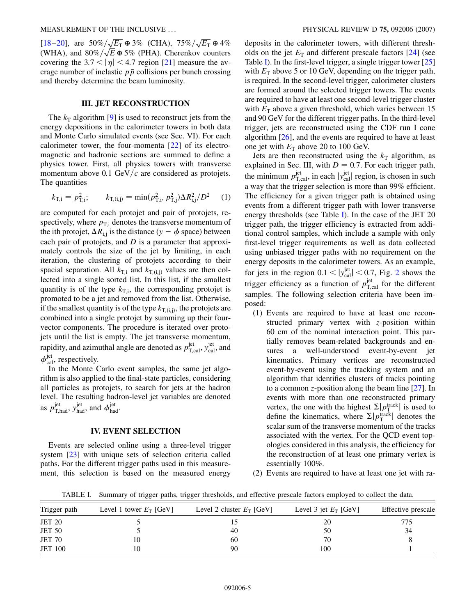[\[18](#page-18-0)–[20](#page-18-0)], are  $50\% / \sqrt{E_{\text{T}}} \oplus 3\%$  (CHA),  $75\% / \sqrt{E_{\text{T}}} \oplus 4\%$ (18–20), are  $30\%/\sqrt{E_T}$  and  $30\%/\sqrt{E_T}$  and  $80\%/\sqrt{E}$  and  $5\%$  (PHA). Cherenkov counters covering the  $3.7 < |\eta| < 4.7$  region [[21](#page-18-0)] measure the average number of inelastic  $p\bar{p}$  collisions per bunch crossing and thereby determine the beam luminosity.

## **III. JET RECONSTRUCTION**

The  $k_T$  algorithm [\[9](#page-17-0)] is used to reconstruct jets from the energy depositions in the calorimeter towers in both data and Monte Carlo simulated events (see Sec. VI). For each calorimeter tower, the four-momenta [\[22\]](#page-18-0) of its electromagnetic and hadronic sections are summed to define a physics tower. First, all physics towers with transverse momentum above  $0.1 \text{ GeV}/c$  are considered as protojets. The quantities

$$
k_{\text{T,i}} = p_{\text{T,i}}^2; \qquad k_{\text{T,i,j}} = \min(p_{\text{T,i}}^2, p_{\text{T,j}}^2) \Delta R_{\text{i,j}}^2 / D^2 \qquad (1)
$$

are computed for each protojet and pair of protojets, respectively, where  $p_{\text{T,i}}$  denotes the transverse momentum of the ith protojet,  $\Delta R_{i,j}$  is the distance ( $y - \phi$  space) between each pair of protojets, and *D* is a parameter that approximately controls the size of the jet by limiting, in each iteration, the clustering of protojets according to their spacial separation. All  $k_{\text{T,i}}$  and  $k_{\text{T,i,j}}$  values are then collected into a single sorted list. In this list, if the smallest quantity is of the type  $k_{\text{Ti}}$ , the corresponding protojet is promoted to be a jet and removed from the list. Otherwise, if the smallest quantity is of the type  $k_{T,i,j}$ , the protojets are combined into a single protojet by summing up their fourvector components. The procedure is iterated over protojets until the list is empty. The jet transverse momentum, rapidity, and azimuthal angle are denoted as  $p_{\rm T, cal}^{\rm jet}$ ,  $y_{\rm cal}^{\rm jet}$ , and  $\phi_{\text{cal}}^{\text{jet}}$ , respectively.

In the Monte Carlo event samples, the same jet algorithm is also applied to the final-state particles, considering all particles as protojets, to search for jets at the hadron level. The resulting hadron-level jet variables are denoted as  $p_{\text{T,had}}^{\text{jet}}, y_{\text{had}}^{\text{jet}}, \text{ and } \phi_{\text{had}}^{\text{jet}}.$ 

#### **IV. EVENT SELECTION**

Events are selected online using a three-level trigger system [[23](#page-18-0)] with unique sets of selection criteria called paths. For the different trigger paths used in this measurement, this selection is based on the measured energy deposits in the calorimeter towers, with different thresholds on the jet  $E_T$  and different prescale factors  $[24]$  $[24]$  $[24]$  (see Table I). In the first-level trigger, a single trigger tower [\[25\]](#page-18-0) with  $E_T$  above 5 or 10 GeV, depending on the trigger path, is required. In the second-level trigger, calorimeter clusters are formed around the selected trigger towers. The events are required to have at least one second-level trigger cluster with  $E_T$  above a given threshold, which varies between 15 and 90 GeV for the different trigger paths. In the third-level trigger, jets are reconstructed using the CDF run I cone algorithm [\[26](#page-18-0)], and the events are required to have at least one jet with  $E_T$  above 20 to 100 GeV.

Jets are then reconstructed using the  $k<sub>T</sub>$  algorithm, as explained in Sec. III, with  $D = 0.7$ . For each trigger path, the minimum  $p_{\text{T,cal}}^{\text{jet}}$ , in each  $|y_{\text{cal}}^{\text{jet}}|$  region, is chosen in such a way that the trigger selection is more than 99% efficient. The efficiency for a given trigger path is obtained using events from a different trigger path with lower transverse energy thresholds (see Table I). In the case of the JET 20 trigger path, the trigger efficiency is extracted from additional control samples, which include a sample with only first-level trigger requirements as well as data collected using unbiased trigger paths with no requirement on the energy deposits in the calorimeter towers. As an example, for jets in the region  $0.1 < |y_{\text{cal}}^{\text{jet}}| < 0.7$ , Fig. [2](#page-5-0) shows the trigger efficiency as a function of  $p_{\text{T,cal}}^{\text{jet}}$  for the different samples. The following selection criteria have been imposed:

- (1) Events are required to have at least one reconstructed primary vertex with *z*-position within 60 cm of the nominal interaction point. This partially removes beam-related backgrounds and ensures a well-understood event-by-event jet kinematics. Primary vertices are reconstructed event-by-event using the tracking system and an algorithm that identifies clusters of tracks pointing to a common *z*-position along the beam line [\[27\]](#page-18-0). In events with more than one reconstructed primary vertex, the one with the highest  $\Sigma | p_{\rm T}^{\rm track}|$  is used to define the kinematics, where  $\Sigma | p_T^{\text{track}}|$  denotes the scalar sum of the transverse momentum of the tracks associated with the vertex. For the QCD event topologies considered in this analysis, the efficiency for the reconstruction of at least one primary vertex is essentially 100%.
- (2) Events are required to have at least one jet with ra-

TABLE I. Summary of trigger paths, trigger thresholds, and effective prescale factors employed to collect the data.

| Trigger path   | Level 1 tower $E_T$ [GeV] | Level 2 cluster $E_T$ [GeV] | Level 3 jet $E_T$ [GeV] | Effective prescale |
|----------------|---------------------------|-----------------------------|-------------------------|--------------------|
| <b>JET 20</b>  |                           |                             | 20                      | 775                |
| <b>JET 50</b>  |                           | 40                          | 50                      | 34                 |
| <b>JET 70</b>  | 10                        | 60                          | 70                      |                    |
| <b>JET 100</b> | 10                        | 90                          | 100                     |                    |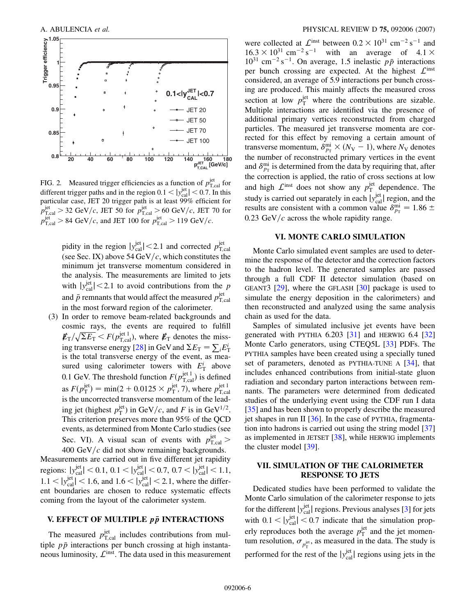<span id="page-5-0"></span>

FIG. 2. Measured trigger efficiencies as a function of  $p_{T, \text{cal}}^{\text{jet}}$  for different trigger paths and in the region  $0.1 < |y_{\text{cal}}^{\text{jet}}| < 0.7$ . In this particular case, JET 20 trigger path is at least 99% efficient for  $p_{\rm T, cal}^{\rm jet}$  > 32 GeV/*c*, JET 50 for  $p_{\rm T, cal}^{\rm jet}$  > 60 GeV/*c*, JET 70 for  $p_{\rm T, cal}^{\rm jet} > 84 \text{ GeV}/c$ , and JET 100 for  $p_{\rm T, cal}^{\rm jet} > 119 \text{ GeV}/c$ .

pidity in the region  $|y_{\text{cal}}^{\text{jet}}| < 2.1$  and corrected  $p_{\text{T,cal}}^{\text{jet}}$ <br>(see Sec. IX) above 54 GeV/*c*, which constitutes the minimum jet transverse momentum considered in the analysis. The measurements are limited to jets with  $|y_{\text{cal}}^{\text{jet}}|$  < 2.1 to avoid contributions from the *p* and  $\bar{p}$  remnants that would affect the measured  $p_{\text{T,cal}}^{\text{jet}}$ in the most forward region of the calorimeter.

(3) In order to remove beam-related backgrounds and cosmic rays, the events are required to fulfill  $E_T/\sqrt{\Sigma E_T} < F(p_{\text{T,cal}}^{\text{jet 1}})$ , where  $E_T$  denotes the miss-ing transverse energy [\[28\]](#page-18-0) in GeV and  $\Sigma E_{\text{T}} = \sum_{i} E_{\text{T}}^{i}$ is the total transverse energy of the event, as measured using calorimeter towers with  $E_{\rm T}^i$  above 0.1 GeV. The threshold function  $F(p_{\text{T,cal}}^{\text{jet 1}})$  is defined as  $F(p_{\text{T}}^{\text{jet}}) = \min(2 + 0.0125 \times p_{\text{T}}^{\text{jet}}, 7)$ , where  $p_{\text{T,cal}}^{\text{jet 1}}$ is the uncorrected transverse momentum of the leading jet (highest  $p_{\text{T}}^{\text{jet}}$ ) in GeV/*c*, and *F* is in GeV<sup>1/2</sup>. This criterion preserves more than 95% of the QCD events, as determined from Monte Carlo studies (see Sec. VI). A visual scan of events with  $p_{\text{T,cal}}^{\text{jet}}$  >  $400 \text{ GeV}/c$  did not show remaining backgrounds.

Measurements are carried out in five different jet rapidity regions:  $|y_{\text{cal}}^{\text{jet}}| < 0.1, 0.1 < |y_{\text{cal}}^{\text{jet}}| < 0.7, 0.7 < |y_{\text{cal}}^{\text{jet}}| < 1.1$ ,  $1.1 < |y_{\text{cal}}^{\text{jet}}| < 1.6$ , and  $1.6 < |y_{\text{cal}}^{\text{jet}}| < 2.1$ , where the different boundaries are chosen to reduce systematic effects coming from the layout of the calorimeter system.

## **V. EFFECT OF MULTIPLE** *pp* **INTERACTIONS**

The measured  $p_{\text{T,cal}}^{\text{jet}}$  includes contributions from multiple  $p\bar{p}$  interactions per bunch crossing at high instantaneous luminosity,  $\mathcal{L}^{\text{inst}}$ . The data used in this measurement

were collected at  $\mathcal{L}^{\text{inst}}$  between  $0.2 \times 10^{31} \text{ cm}^{-2} \text{ s}^{-1}$  and  $16.3 \times 10^{31}$  cm<sup>-2</sup> s<sup>-1</sup> with an average of  $4.1 \times$  $10^{31}$  cm<sup>-2</sup> s<sup>-1</sup>. On average, 1.5 inelastic  $p\bar{p}$  interactions per bunch crossing are expected. At the highest  $\mathcal{L}^{\text{inst}}$ considered, an average of 5.9 interactions per bunch crossing are produced. This mainly affects the measured cross section at low  $p_T^{\text{jet}}$  where the contributions are sizable. Multiple interactions are identified via the presence of additional primary vertices reconstructed from charged particles. The measured jet transverse momenta are corrected for this effect by removing a certain amount of transverse momentum,  $\delta_{p_T}^{\text{mi}} \times (N_{\text{V}} - 1)$ , where  $N_{\text{V}}$  denotes the number of reconstructed primary vertices in the event and  $\delta_{p_{\text{T}}}^{\text{mi}}$  is determined from the data by requiring that, after the correction is applied, the ratio of cross sections at low and high  $\mathcal{L}^{\text{inst}}$  does not show any  $p_{\text{T}}^{\text{jet}}$  dependence. The study is carried out separately in each  $|y_{\text{cal}}^{\text{jet}}|$  region, and the results are consistent with a common value  $\delta_{p_T}^{\text{mi}} = 1.86 \pm 1.00$  $0.23 \text{ GeV}/c$  across the whole rapidity range.

### **VI. MONTE CARLO SIMULATION**

Monte Carlo simulated event samples are used to determine the response of the detector and the correction factors to the hadron level. The generated samples are passed through a full CDF II detector simulation (based on GEANT3 [[29](#page-18-0)], where the GFLASH [\[30](#page-18-0)] package is used to simulate the energy deposition in the calorimeters) and then reconstructed and analyzed using the same analysis chain as used for the data.

Samples of simulated inclusive jet events have been generated with PYTHIA  $6.203$  [[31](#page-18-0)] and HERWIG  $6.4$  [\[32\]](#page-18-0) Monte Carlo generators, using CTEQ5L [\[33\]](#page-18-0) PDFs. The PYTHIA samples have been created using a specially tuned set of parameters, denoted as PYTHIA-TUNE A [\[34\]](#page-18-0), that includes enhanced contributions from initial-state gluon radiation and secondary parton interactions between remnants. The parameters were determined from dedicated studies of the underlying event using the CDF run I data [\[35\]](#page-18-0) and has been shown to properly describe the measured jet shapes in run II  $[36]$  $[36]$  $[36]$ . In the case of PYTHIA, fragmentation into hadrons is carried out using the string model [\[37\]](#page-18-0) as implemented in JETSET [[38](#page-18-0)], while HERWIG implements the cluster model [[39](#page-18-0)].

## **VII. SIMULATION OF THE CALORIMETER RESPONSE TO JETS**

Dedicated studies have been performed to validate the Monte Carlo simulation of the calorimeter response to jets for the different  $|y_{\text{cal}}^{\text{jet}}|$  regions. Previous analyses [\[3](#page-17-0)] for jets with  $0.1 < |y_{\text{cal}}^{\text{jet}}| < 0.7$  indicate that the simulation properly reproduces both the average  $p_T^{\text{jet}}$  and the jet momentum resolution,  $\sigma_{p_T^{\text{jet}}}$ , as measured in the data. The study is performed for the rest of the  $|y_{\text{cal}}^{\text{jet}}|$  regions using jets in the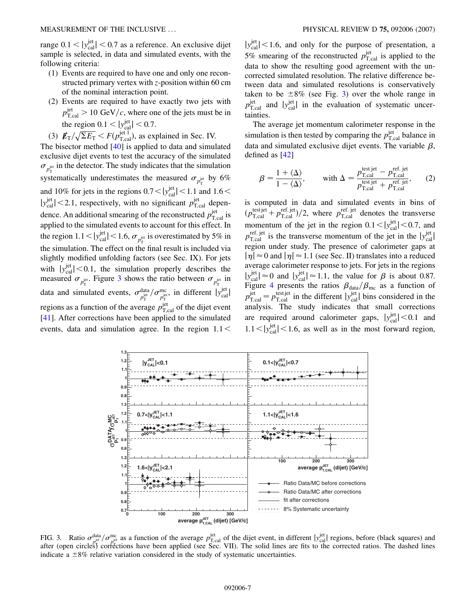<span id="page-6-0"></span>range  $0.1 < |y_{\text{cal}}^{\text{jet}}| < 0.7$  as a reference. An exclusive dijet sample is selected, in data and simulated events, with the following criteria:

- (1) Events are required to have one and only one reconstructed primary vertex with *z*-position within 60 cm of the nominal interaction point.
- (2) Events are required to have exactly two jets with  $p_{\text{T,cal}}^{\text{jet}}$  > 10 GeV/*c*, where one of the jets must be in the region  $0.1 < |y_{\text{cal}}^{\text{jet}}| < 0.7$ .

(3)  $\mathbf{\not{E}}_{\text{T}}/\sqrt{\Sigma E_{\text{T}}}< F(p_{\text{T,cal}}^{\text{jet 1}})$ , as explained in Sec. IV. The bisector method [\[40\]](#page-18-0) is applied to data and simulated exclusive dijet events to test the accuracy of the simulated  $\sigma_{p_{\rm T}^{\rm jet}}$  in the detector. The study indicates that the simulation systematically underestimates the measured  $\sigma_{p_T^{\text{jet}}}$  by 6% and 10% for jets in the regions  $0.7 < |y_{\text{cal}}^{\text{jet}}| < 1.1$  and  $1.6 <$  $|y_{\text{cal}}^{\text{jet}}|$  < 2.1, respectively, with no significant  $p_{\text{T,cal}}^{\text{jet}}$  dependence. An additional smearing of the reconstructed  $p_{T, cal}^{\text{jet}}$  is applied to the simulated events to account for this effect. In the region  $1.1 < |y_{\text{cal}}^{\text{jet}}| < 1.6$ ,  $\sigma_{p_T^{\text{jet}}}$  is overestimated by 5% in the simulation. The effect on the final result is included via slightly modified unfolding factors (see Sec. IX). For jets with  $|y_{\text{cal}}^{\text{jet}}|$  < 0.1, the simulation properly describes the measured  $\sigma_{p_{\rm T}^{\rm jet}}$ . Figure 3 shows the ratio between  $\sigma_{p_{\rm T}^{\rm jet}}$  in data and simulated events,  $\sigma_{p_T^{jet}}^{\text{data}} / \sigma_{p_T^{jet}}^{\text{me}}$ , in different  $|y_{\text{cal}}^{\text{jet}}|$ regions as a function of the average  $p_{\text{T,cal}}^{\text{jet}}$  of the dijet event [\[41\]](#page-18-0). After corrections have been applied to the simulated events, data and simulation agree. In the region 1*:*1*<*

 $|y_{\text{cal}}^{\text{jet}}|$  < 1.6, and only for the purpose of presentation, a 5% smearing of the reconstructed  $p_{\text{T,cal}}^{\text{jet}}$  is applied to the data to show the resulting good agreement with the uncorrected simulated resolution. The relative difference between data and simulated resolutions is conservatively taken to be  $\pm 8\%$  (see Fig. 3) over the whole range in  $p_{\rm T, cal}^{\rm jet}$  and  $|y_{\rm cal}^{\rm jet}|$  in the evaluation of systematic uncertainties.

The average jet momentum calorimeter response in the simulation is then tested by comparing the  $p_{T,\text{cal}}^{\text{jet}}$  balance in data and simulated exclusive dijet events. The variable  $\beta$ , defined as [\[42\]](#page-18-0)

$$
\beta = \frac{1 + \langle \Delta \rangle}{1 - \langle \Delta \rangle}, \quad \text{with } \Delta = \frac{p_{T,\text{cal}}^{\text{test jet}} - p_{T,\text{cal}}^{\text{ref. jet}}}{p_{T,\text{cal}}^{\text{test jet}} + p_{T,\text{cal}}^{\text{ref. jet}}}, \quad (2)
$$

is computed in data and simulated events in bins of  $(p_{\text{T,cal}}^{\text{test,jet}} + p_{\text{T,cal}}^{\text{ref. jet}})/2$ , where  $p_{\text{T,cal}}^{\text{ref. jet}}$  denotes the transverse momentum of the jet in the region  $0.1 < |y_{\text{cal}}^{\text{jet}}| < 0.7$ , and  $p_{\text{T,cal}}^{\text{ref. jet}}$  is the transverse momentum of the jet in the  $|y_{\text{cal}}^{\text{jet}}|$ region under study. The presence of calorimeter gaps at  $|\eta| \approx 0$  and  $|\eta| \approx 1.1$  (see Sec. II) translates into a reduced average calorimeter response to jets. For jets in the regions  $|y_{\text{cal}}^{\text{jet}}| \approx 0$  and  $|y_{\text{cal}}^{\text{jet}}| \approx 1.1$ , the value for  $\beta$  is about 0.87. Figure [4](#page-7-0) presents the ratios  $\beta_{data}/\beta_{mc}$  as a function of  $p_{\text{T,cal}}^{\text{jet}} = p_{\text{T,cal}}^{\text{test jet}}$  in the different  $|y_{\text{cal}}^{\text{jet}}|$  bins considered in the analysis. The study indicates that small corrections are required around calorimeter gaps,  $|y_{\text{cal}}^{\text{jet}}| < 0.1$  and  $1.1 < |y_{\text{cal}}^{\text{jet}}| < 1.6$ , as well as in the most forward region,



FIG. 3. Ratio  $\sigma_{\text{plet}}^{\text{data}} / \sigma_{\text{pre}}^{\text{me}}$  as a function of the average  $p_{\text{T,cal}}^{\text{jet}}$  of the dijet event, in different  $|y_{\text{cal}}^{\text{jet}}|$  regions, before (black squares) and  $\sigma_{\text{ref}}^{\text{beta}}$  and  $\sigma_{\text{ref}}^{\text{beta}}$  and after (open circles) corrections have been applied (see Sec. VII). The solid lines are fits to the corrected ratios. The dashed lines indicate a  $\pm 8\%$  relative variation considered in the study of systematic uncertainties.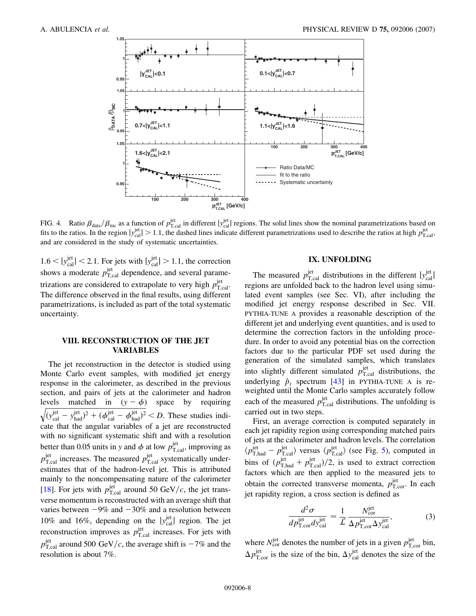<span id="page-7-0"></span>

FIG. 4. Ratio  $\beta_{\text{data}}/\beta_{\text{mc}}$  as a function of  $p_{\text{T,cal}}^{\text{jet}}$  in different  $|y_{\text{cal}}^{\text{jet}}|$  regions. The solid lines show the nominal parametrizations based on fits to the ratios. In the region  $|y_{\text{cal}}^{\text{jet}}| > 1.1$ , the dashed lines indicate different parametrizations used to describe the ratios at high  $p_{\text{T,cal}}^{\text{jet}}$ and are considered in the study of systematic uncertainties.

 $1.6 < |y_{\text{cal}}^{\text{jet}}| < 2.1$ . For jets with  $|y_{\text{cal}}^{\text{jet}}| > 1.1$ , the correction shows a moderate  $p_{\text{T,cal}}^{\text{jet}}$  dependence, and several parametrizations are considered to extrapolate to very high  $p_{\text{T,cal}}^{\text{jet}}$ . The difference observed in the final results, using different parametrizations, is included as part of the total systematic uncertainty.

## **VIII. RECONSTRUCTION OF THE JET VARIABLES**

The jet reconstruction in the detector is studied using Monte Carlo event samples, with modified jet energy response in the calorimeter, as described in the previous section, and pairs of jets at the calorimeter and hadron levels matched in  $(y - \phi)$  space by requiring  $\sqrt{(y_{\text{cal}}^{\text{jet}} - y_{\text{had}}^{\text{jet}})^2 + (\phi_{\text{cal}}^{\text{jet}} - \phi_{\text{had}}^{\text{jet}})^2}$ *< D*. These studies indicate that the angular variables of a jet are reconstructed with no significant systematic shift and with a resolution better than 0.05 units in *y* and  $\phi$  at low  $p_{\text{T,cal}}^{\text{jet}}$ , improving as  $p_{\text{T,cal}}^{\text{jet}}$  increases. The measured  $p_{\text{T,cal}}^{\text{jet}}$  systematically underestimates that of the hadron-level jet. This is attributed mainly to the noncompensating nature of the calorimeter [\[18\]](#page-18-0). For jets with  $p_{\rm T, cal}^{\rm jet}$  around 50 GeV/c, the jet transverse momentum is reconstructed with an average shift that varies between  $-9\%$  and  $-30\%$  and a resolution between 10% and 16%, depending on the  $|y_{\text{cal}}^{\text{jet}}|$  region. The jet reconstruction improves as  $p_{\text{T,cal}}^{\text{jet}}$  increases. For jets with  $p_{\rm T, cal}^{\rm jet}$  around 500 GeV/c, the average shift is  $-7\%$  and the resolution is about 7%.

## **IX. UNFOLDING**

The measured  $p_{\text{T,cal}}^{\text{jet}}$  distributions in the different  $|y_{\text{cal}}^{\text{jet}}|$ regions are unfolded back to the hadron level using simulated event samples (see Sec. VI), after including the modified jet energy response described in Sec. VII. PYTHIA-TUNE A provides a reasonable description of the different jet and underlying event quantities, and is used to determine the correction factors in the unfolding procedure. In order to avoid any potential bias on the correction factors due to the particular PDF set used during the generation of the simulated samples, which translates into slightly different simulated  $p_{T,\text{cal}}^{\text{jet}}$  distributions, the underlying  $\hat{p}_t$  spectrum [[43](#page-18-0)] in PYTHIA-TUNE A is reweighted until the Monte Carlo samples accurately follow each of the measured  $p_{\text{T,cal}}^{\text{jet}}$  distributions. The unfolding is carried out in two steps.

First, an average correction is computed separately in each jet rapidity region using corresponding matched pairs of jets at the calorimeter and hadron levels. The correlation  $\langle p_{\text{T},\text{had}}^{\text{jet}} - p_{\text{T},\text{cal}}^{\text{jet}} \rangle$  versus  $\langle p_{\text{T},\text{cal}}^{\text{jet}} \rangle$  (see Fig. [5](#page-8-0)), computed in bins of  $(p_{\text{T,had}}^{\text{jet}} + p_{\text{T,cal}}^{\text{jet}})/2$ , is used to extract correction factors which are then applied to the measured jets to obtain the corrected transverse momenta,  $p_{\text{T,cor}}^{\text{jet}}$ . In each jet rapidity region, a cross section is defined as

$$
\frac{d^2 \sigma}{dp_{\text{T,cor}}^{\text{jet}}} = \frac{1}{\mathcal{L}} \frac{N_{\text{cor}}^{\text{jet}}}{\Delta p_{\text{T,cor}}^{\text{jet}} \Delta y_{\text{cal}}^{\text{jet}}},\tag{3}
$$

where  $N_{\text{cor}}^{\text{jet}}$  denotes the number of jets in a given  $p_{\text{T,cor}}^{\text{jet}}$  bin,  $\Delta p_{\rm T,cor}^{\rm jet}$  is the size of the bin,  $\Delta y_{\rm cal}^{\rm jet}$  denotes the size of the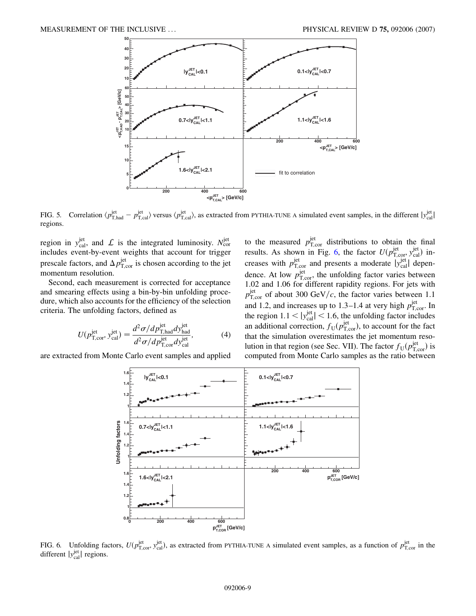<span id="page-8-0"></span>

FIG. 5. Correlation  $\langle p_{\text{T},had}^{\text{jet}} - p_{\text{T},cal}^{\text{jet}} \rangle$  versus  $\langle p_{\text{T},cal}^{\text{jet}} \rangle$ , as extracted from PYTHIA-TUNE A simulated event samples, in the different  $|y_{cal}^{\text{jet}}|$ regions.

region in  $y_{\text{cal}}^{\text{jet}}$ , and  $\mathcal{L}$  is the integrated luminosity.  $N_{\text{cor}}^{\text{jet}}$ includes event-by-event weights that account for trigger prescale factors, and  $\Delta p_{\rm T,cor}^{\rm jet}$  is chosen according to the jet momentum resolution.

Second, each measurement is corrected for acceptance and smearing effects using a bin-by-bin unfolding procedure, which also accounts for the efficiency of the selection criteria. The unfolding factors, defined as

$$
U(p_{\text{T,cor}}^{\text{jet}}, y_{\text{cal}}^{\text{jet}}) = \frac{d^2 \sigma / dp_{\text{T,had}}^{\text{jet}} dy_{\text{had}}^{\text{jet}}}{d^2 \sigma / dp_{\text{T,cor}}^{\text{jet}} dy_{\text{cal}}^{\text{jet}}},\tag{4}
$$

are extracted from Monte Carlo event samples and applied

to the measured  $p_{\text{T,cor}}^{\text{jet}}$  distributions to obtain the final results. As shown in Fig. 6, the factor  $U(p_{\text{T,cor}}^{\text{jet}}, y_{\text{cal}}^{\text{jet}})$  increases with  $p_{\text{T,cor}}^{\text{jet}}$  and presents a moderate  $|y_{\text{cal}}^{\text{jet}}|$  dependence. At low  $p_{\text{T,cor}}^{\text{jet}}$ , the unfolding factor varies between 1.02 and 1.06 for different rapidity regions. For jets with  $p_{\text{T,cor}}^{\text{jet}}$  of about 300 GeV/c, the factor varies between 1.1 and 1.2, and increases up to 1.3–1.4 at very high  $p_{\text{T,cor}}^{\text{jet}}$ . In the region  $1.1 < |y_{\text{cal}}^{\text{jet}}| < 1.6$ , the unfolding factor includes an additional correction,  $f_U(p_{\text{T,cor}}^{\text{jet}})$ , to account for the fact that the simulation overestimates the jet momentum resolution in that region (see Sec. VII). The factor  $f_U(p_{\text{T,cor}}^{\text{jet}})$  is computed from Monte Carlo samples as the ratio between



FIG. 6. Unfolding factors,  $U(p_{\text{T,cor}}^{\text{jet}}, y_{\text{cal}}^{\text{jet}})$ , as extracted from PYTHIA-TUNE A simulated event samples, as a function of  $p_{\text{T,cor}}^{\text{jet}}$  in the different  $|y_{\text{cal}}^{\text{jet}}|$  regions.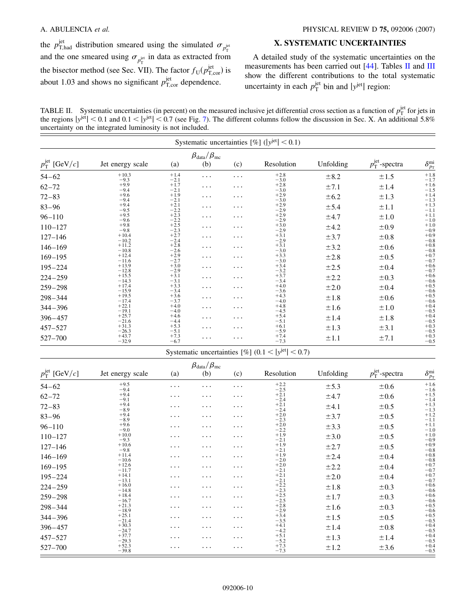<span id="page-9-0"></span>the  $p_{\text{T,had}}^{\text{jet}}$  distribution smeared using the simulated  $\sigma_{p_{\text{T}}^{\text{jet}}}$ and the one smeared using  $\sigma_{p_{\rm T}^{\rm jet}}$  in data as extracted from the bisector method (see Sec. VII). The factor  $f_U(p_{T,\text{cor}}^{\text{jet}})$  is about 1.03 and shows no significant  $p_{\text{T,cor}}^{\text{jet}}$  dependence.

## **X. SYSTEMATIC UNCERTAINTIES**

A detailed study of the systematic uncertainties on the measurements has been carried out [[44](#page-18-0)]. Tables II and [III](#page-10-0) show the different contributions to the total systematic uncertainty in each  $p_T^{\text{jet}}$  bin and  $|y^{\text{jet}}|$  region:

TABLE II. Systematic uncertainties (in percent) on the measured inclusive jet differential cross section as a function of  $p_T^{\text{jet}}$  for jets in the regions  $|y^{jet}|$  < 0.1 and 0.1 <  $|y^{jet}|$  < 0.[7](#page-11-0) (see Fig. 7). The different columns follow the discussion in Sec. X. An additional 5.8% uncertainty on the integrated luminosity is not included.

| $\beta_{\text{data}}/\beta_{\text{mc}}$ |                    |                            |          |          |                  |           |                                |                                |  |  |
|-----------------------------------------|--------------------|----------------------------|----------|----------|------------------|-----------|--------------------------------|--------------------------------|--|--|
| $p_{\rm T}^{\rm jet}$ [GeV/c]           | Jet energy scale   | (a)                        | (b)      | (c)      | Resolution       | Unfolding | $p_{\rm T}^{\rm jet}$ -spectra | $\delta_{p_{\rm T}}^{\rm mi}$  |  |  |
| $54 - 62$                               | $+10.3$<br>$-9.3$  | $+1.4$<br>$-2.1$           | $\cdots$ | .        | $+2.8$<br>$-3.0$ | ±8.2      | ±1.5                           | $+1.8$<br>$-1.7$               |  |  |
| $62 - 72$                               | $+9.9$<br>$-9.4$   | $+1.7$<br>$-2.1$           | $\cdots$ | $\cdots$ | $+2.8$<br>$-3.0$ | ±7.1      | ±1.4                           | $+1.6$<br>$-1.5$               |  |  |
| $72 - 83$                               | $+9.6$<br>$-9.4$   | $+1.9$<br>$-2.1$           | $\cdots$ | $\cdots$ | $+2.9$<br>$-3.0$ | ±6.2      | $\pm 1.3$                      | $+1.4$                         |  |  |
| $83 - 96$                               | $+9.4$<br>$-9.5$   | $+2.1$                     | $\cdots$ | $\cdots$ | $+2.9$<br>$-2.9$ | ±5.4      | ±1.1                           | $-1.3$<br>+1.3<br>$-1.1$       |  |  |
| $96 - 110$                              | $+9.5$<br>$-9.6$   | $-2.2$<br>+2.3             | .        | $\cdots$ | $+2.9$<br>$-2.9$ | ±4.7      | ±1.0                           | $+1.1$<br>$-1.0$               |  |  |
| $110 - 127$                             | $+9.8$<br>$-9.8$   | $^{-2.2}_{+2.5}$<br>$-2.3$ | .        | $\cdots$ | $+3.0$<br>$-2.9$ | ±4.2      | ±0.9                           | $+1.0$                         |  |  |
| $127 - 146$                             | $+10.4$<br>$-10.2$ | $+2.7$<br>$-2.4$           | .        | $\cdots$ | $+3.1$<br>$-2.9$ | ±3.7      | ±0.8                           | $-0.9 + 0.9$<br>$-0.8$         |  |  |
| $146 - 169$                             | $+11.2$<br>$-10.8$ | $+2.8$<br>$-2.6$           | $\cdots$ | .        | $+3.1$<br>$-3.0$ | ±3.2      | ±0.6                           | $+0.8$                         |  |  |
| $169 - 195$                             | $+12.4$<br>$-11.6$ | $+2.9$<br>$-2.7$           | $\cdots$ | .        | $+3.3$<br>$-3.0$ | ±2.8      | ±0.5                           | $-0.8$<br>+0.7<br>$-0.7$       |  |  |
| $195 - 224$                             | $+13.9$<br>$-12.8$ | $+3.0$<br>$-2.9$           | .        | .        | $+3.4$<br>$-3.2$ | ±2.5      | ±0.4                           | $+0.6$<br>$-0.7$               |  |  |
| $224 - 259$                             | $+15.5$<br>$-14.3$ | $+3.1$<br>$-3.1$           | $\cdots$ | .        | $+3.7$<br>$-3.4$ | ±2.2      | $\pm 0.3$                      | $+0.6$<br>$-0.6$               |  |  |
| $259 - 298$                             | $+17.4$<br>$-15.9$ | $+3.3$<br>$-3.4$           | $\cdots$ | .        | $+4.0$<br>$-3.6$ | ±2.0      | ±0.4                           | $+0.5$<br>$-0.6$               |  |  |
| $298 - 344$                             | $+19.5$<br>$-17.4$ | $+3.6$<br>$-3.7$           | $\cdots$ | .        | $+4.3$<br>$-4.0$ | ±1.8      | ±0.6                           | $+0.5$<br>$-0.6$               |  |  |
| $344 - 396$                             | $+22.1$<br>$-19.1$ | $+4.0$<br>$-4.0$           | .        | $\cdots$ | $+4.8$<br>$-4.5$ | ±1.6      | ±1.0                           | $+0.4$<br>$-0.5$               |  |  |
| $396 - 457$                             | $+25.7$<br>$-21.6$ | $+4.6$<br>$-4.4$           | $\cdots$ | .        | $+5.4$<br>$-5.1$ | ±1.4      | ±1.8                           | $+0.4$                         |  |  |
| $457 - 527$                             | $+31.3$<br>$-26.3$ | $+5.3$<br>$-5.1$           | $\cdots$ | .        | $+6.1$<br>$-5.9$ | ±1.3      | $\pm$ 3.1                      | $-0.5$<br>+0.3<br>-0.5<br>+0.3 |  |  |
| 527-700                                 | $+43.7$<br>$-32.9$ | $+7.3$<br>$-6.7$           | .        | $\cdots$ | $+7.4$<br>$-7.3$ | ±1.1      | ±7.1                           | $-0.5$                         |  |  |

| $p_{\rm T}^{\rm jet}$ [GeV/c] | Jet energy scale   | (a)      | $\beta_{\text{data}}/\beta_{\text{mc}}$<br>(b) | (c)      | Resolution       | Unfolding | $p_{\rm T}^{\rm jet}$ -spectra | $\delta^{\mathrm{mi}}_{\mathit{p}_{\mathrm{T}}}$ |
|-------------------------------|--------------------|----------|------------------------------------------------|----------|------------------|-----------|--------------------------------|--------------------------------------------------|
| $54 - 62$                     | $+9.5$<br>$-9.4$   | $\cdots$ | .                                              | $\cdots$ | $+2.2$<br>$-2.5$ | ±5.3      | ±0.6                           | $+1.6$<br>$-1.6$                                 |
| $62 - 72$                     | $+9.4$<br>$-9.1$   | .        | .                                              | .        | $+2.1$<br>$-2.4$ | ±4.7      | ±0.6                           | $+1.5$<br>$-1.4$                                 |
| $72 - 83$                     | $+9.4$<br>$-8.9$   | $\cdots$ | $\cdots$                                       | .        | $+2.1$<br>$-2.4$ | ±4.1      | ±0.5                           | $+1.3$<br>$-1.3$                                 |
| $83 - 96$                     | $+9.4$<br>$-8.9$   | .        | $\cdots$                                       | $\cdots$ | $+2.0$<br>$-2.3$ | ±3.7      | ±0.5                           | $+1.2$<br>$-1.1$                                 |
| $96 - 110$                    | $+9.6$<br>$-9.0$   | .        | .                                              | .        | $+2.0$<br>$-2.2$ | $\pm$ 3.3 | ±0.5                           | $+1.1$<br>$-1.0$                                 |
| $110 - 127$                   | $+10.0$<br>$-9.3$  | .        | .                                              | .        | $+1.9$<br>$-2.1$ | ±3.0      | ±0.5                           | $+1.0$<br>$-0.9$                                 |
| $127 - 146$                   | $+10.6$<br>$-9.8$  | .        | .                                              | .        | $+1.9$<br>$-2.1$ | ±2.7      | ±0.5                           | $+0.9$<br>$-0.8$                                 |
| $146 - 169$                   | $+11.4$<br>$-10.6$ | .        | $\cdots$                                       | .        | $+1.9$<br>$-2.0$ | ±2.4      | ±0.4                           | $+0.8$<br>$-0.8$                                 |
| $169 - 195$                   | $+12.6$<br>$-11.7$ | .        | .                                              | .        | $+2.0$<br>$-2.1$ | ±2.2      | ±0.4                           | $+0.7$<br>$-0.7$                                 |
| $195 - 224$                   | $+14.1$<br>$-13.1$ | .        | .                                              | .        | $+2.1$<br>$-2.1$ | ±2.0      | ±0.4                           | $+0.7$<br>$-0.7$                                 |
| $224 - 259$                   | $+16.0$<br>$-14.8$ | .        | .                                              | .        | $+2.2$<br>$-2.3$ | ±1.8      | ±0.3                           | $+0.6$<br>$-0.6$                                 |
| $259 - 298$                   | $+18.4$<br>$-16.7$ | .        | .                                              | .        | $+2.5$<br>$-2.5$ | ±1.7      | ±0.3                           | $+0.6$<br>$-0.6$                                 |
| $298 - 344$                   | $+21.3$<br>$-18.9$ | .        | .                                              | .        | $+2.8$<br>$-2.9$ | ±1.6      | ±0.3                           | $+0.5$<br>$-0.6$                                 |
| $344 - 396$                   | $+25.1$<br>$-21.4$ | .        | $\cdots$                                       | $\cdots$ | $+3.4$<br>$-3.5$ | ±1.5      | ±0.5                           | $+0.5$<br>$-0.5$                                 |
| $396 - 457$                   | $+30.3$<br>$-24.7$ | .        | .                                              | $\cdots$ | $+4.1$<br>$-4.2$ | ±1.4      | ±0.8                           | $+0.4$<br>$-0.5$                                 |
| $457 - 527$                   | $+37.7$<br>$-29.3$ | .        | .                                              | .        | $+5.1$<br>$-5.2$ | ±1.3      | ±1.4                           | $+0.4$<br>$-0.5$                                 |
| 527-700                       | $+52.3$<br>$-39.8$ | $\cdots$ | $\cdots$                                       | $\cdots$ | $+7.3$<br>$-7.3$ | ±1.2      | ±3.6                           | $+0.4$<br>$-0.5$                                 |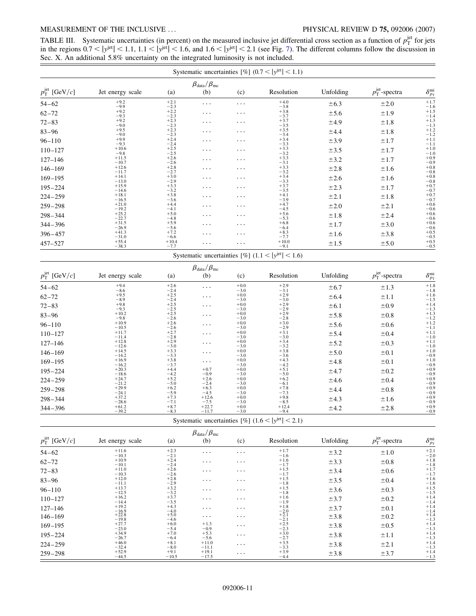## <span id="page-10-0"></span>MEASUREMENT OF THE INCLUSIVE ... PHYSICAL REVIEW D **75,** 092006 (2007)

TABLE III. Systematic uncertainties (in percent) on the measured inclusive jet differential cross section as a function of  $p_T^{\text{jet}}$  for jets in the regions  $0.7 < |y^{jet}| < 1.1$ ,  $1.1 < |y^{jet}| < 1.6$ , and  $1.6 < |y^{jet}| < 2.1$  (see Fig. [7\)](#page-11-0). The different columns follow the discussion in Sec. X. An additional 5.8% uncertainty on the integrated luminosity is not included.

|                               |                               |                            |                                                |                  | Systematic uncertainties [%] $(0.7 <  y^{jet}  < 1.1)$ |           |                                |                                              |
|-------------------------------|-------------------------------|----------------------------|------------------------------------------------|------------------|--------------------------------------------------------|-----------|--------------------------------|----------------------------------------------|
| $p_{\rm T}^{\rm jet}$ [GeV/c] | Jet energy scale              | (a)                        | $\beta_{\text{data}}/\beta_{\text{mc}}$<br>(b) | (c)              | Resolution                                             | Unfolding | $p_{\rm T}^{\rm jet}$ -spectra | $\delta_{p_{\mathrm{T}}}^{\mathrm{mi}}$      |
| $54 - 62$                     | $+9.2$<br>$-9.9$              | $+2.1$<br>$-2.3$           | $\cdots$                                       | $\cdots$         | $+4.0$<br>$-3.8$                                       | ±6.3      | ±2.0                           | $+1.7$                                       |
| $62 - 72$                     | $+9.2$<br>$-9.3$              | $+2.2$<br>$-2.3$           | .                                              | .                | $+3.8$                                                 | ±5.6      | ±1.9                           | $^{-1.6}_{+1.5}$                             |
| $72 - 83$                     | $+9.2$<br>$-9.0$              | $+2.3$<br>$-2.3$           | .                                              | $\cdots$         | $-3.7$<br>+3.7<br>$-3.5$                               | ±4.9      | ±1.8                           | $-1.4$<br>+1.3                               |
| $83 - 96$                     | $+9.5$                        | $+2.3$                     | .                                              | $\cdots$         | $+3.5$                                                 | ±4.4      | ±1.8                           | $-1.3$<br>$+1.2$                             |
| $96 - 110$                    | $-9.0$<br>$+9.9$              | $-2.3$<br>$+2.4$           | $\cdots$                                       | $\cdot$          | $-3.4$<br>$+3.4$                                       | ±3.9      | ±1.7                           | $-1.2$<br>+1.1                               |
| $110 - 127$                   | $-9.3$<br>$+10.6$             | $-2.4$<br>$+2.5$           | .                                              | .                | $-3.3$<br>$+3.3$<br>$-3.2$                             | ±3.5      | ±1.7                           | $-1.1$<br>$+1.0$                             |
| $127 - 146$                   | $-9.8$<br>$+11.5$             | $-2.5$<br>$+2.6$           | .                                              | .                | $+3.3$                                                 | ±3.2      | ±1.7                           | $-1.0$<br>$+0.9$                             |
| $146 - 169$                   | $-10.7$<br>$+12.6$            | $-2.6$<br>$+2.8$           | .                                              | .                | $-3.1$<br>$+3.3$<br>$-3.2$                             | ±2.8      | ±1.6                           | $-0.9$<br>$+0.8$                             |
| $169 - 195$                   | $-11.7$<br>$+14.1$            | $-2.7$<br>$+3.0$<br>$-2.9$ | $\cdots$                                       | .                | $+3.4$<br>$-3.3$                                       | ±2.6      | ±1.6                           | $-0.8$<br>+0.8<br>$-0.8$                     |
| $195 - 224$                   | $-13.0$<br>$+15.9$<br>$-14.6$ | $+3.3$<br>$-3.2$           | .                                              | .                | $+3.7$<br>$-3.5$                                       | ±2.3      | ±1.7                           | $^{+0.7}_{-0.7}$                             |
| $224 - 259$                   | $+18.1$<br>$-16.5$            | $+3.8$<br>$-3.6$           | .                                              | $\cdot$          | $+4.1$<br>$-3.9$                                       | ±2.1      | ±1.8                           | $+0.7$<br>$-0.7$                             |
| $259 - 298$                   | $+21.0$<br>$-19.2$            | $+4.4$<br>$-4.1$           | $\ddotsc$                                      | .                | $+4.7$<br>$-4.5$                                       | ±2.0      | $\pm 2.1$                      | $+0.6$<br>$-0.6$                             |
| $298 - 344$                   | $+25.2$<br>$-22.7$            | $+5.0$<br>$-4.8$           | .                                              | $\cdots$         | $+5.6$<br>$-5.3$                                       | ±1.8      | ±2.4                           | $^{+0.6}_{-0.6}$                             |
| $344 - 396$                   | $+31.5$<br>$-26.9$            | $+5.9$<br>$-5.6$           | .                                              | $\cdots$         | $+6.8$<br>$-6.4$                                       | ±1.7      | ±3.0                           | $+0.6$                                       |
| $396 - 457$                   | $+41.3$<br>$-31.0$            | $+7.2$<br>$-6.6$           | .                                              | .                | $+8.3$<br>$-7.7$                                       | ±1.6      | ±3.8                           | $-0.6$<br>+0.5<br>$-0.5$                     |
| $457 - 527$                   | $+55.4$<br>$-38.3$            | $+10.4$<br>$-7.7$          | .                                              | .                | $+10.0$<br>$-9.1$                                      | ±1.5      | ±5.0                           | $+0.5$<br>$-0.5$                             |
|                               |                               |                            |                                                |                  | Systematic uncertainties [%] $(1.1 <  y^{jet}  < 1.6)$ |           |                                |                                              |
|                               |                               |                            | $\beta_{\text{data}}/\beta_{\text{mc}}$        |                  |                                                        |           |                                |                                              |
| $p_{\rm T}^{\rm jet}$ [GeV/c] | Jet energy scale              | (a)                        | (b)                                            | (c)              | Resolution                                             | Unfolding | $p_{\rm T}^{\rm jet}$ -spectra | $\delta_{\textit{p}_{\text{T}}}^{\text{mi}}$ |
| $54 - 62$                     | $+9.4$<br>$-8.6$              | $+2.6$<br>$-2.4$           | $\cdots$                                       | $+0.0$<br>$-3.0$ | $+2.9$<br>$-3.1$                                       | ±6.7      | ±1.3                           | $+1.8$<br>$-1.8$                             |
| $62 - 72$                     | $+9.5$<br>$-8.9$              | $+2.5$<br>$-2.4$           | $\cdots$                                       | $+0.0$<br>$-3.0$ | $+2.9$<br>$-3.0$                                       | ±6.4      | ±1.1                           | $^{+1.6}_{-1.5}$                             |
| $72 - 83$                     | $+9.8$<br>$-9.3$              | $+2.5$<br>$-2.5$           | .                                              | $+0.0$<br>$-3.0$ | $+2.9$<br>$-2.9$                                       | ±6.1      | ±0.9                           | $+1.4$                                       |
| $83 - 96$                     | $+10.2$<br>$-9.8$             | $+2.5$<br>$-2.6$           | .                                              | $+0.0$<br>$-3.0$ | $+2.9$<br>$-2.8$                                       | ±5.8      | ±0.8                           | $-1.3$<br>+1.3<br>-1.2<br>+1.2               |
| $96 - 110$                    | $+10.9$<br>$-10.5$            | $+2.6$<br>$-2.6$           | .                                              | $+0.0$<br>$-3.0$ | $+3.0$<br>$-2.9$                                       | ±5.6      | ±0.6                           | $-1.1$                                       |

| 96–110      | $+10.9$<br>$-10.5$ | $+2.0$<br>$-2.6$ | $\cdots$          | $+0.0$<br>$-3.0$ | $+5.0$<br>$-2.9$  | ±5.6  | $\pm 0.6$ | $+1.2$<br>$-1.1$ |
|-------------|--------------------|------------------|-------------------|------------------|-------------------|-------|-----------|------------------|
| $110 - 127$ | $+11.7$<br>$-11.4$ | $+2.7$<br>$-2.8$ | $\ddots$          | $+0.0$<br>$-3.0$ | $+3.1$<br>$-3.0$  | ± 5.4 | $\pm 0.4$ | $+1.1$<br>$-1.0$ |
| $127 - 146$ | $+12.8$<br>$-12.6$ | $+2.9$<br>$-3.0$ | $\ddots$          | $+0.0$<br>$-3.0$ | $+3.4$<br>$-3.2$  | ± 5.2 | ±0.3      | $+1.1$<br>$-1.0$ |
| $146 - 169$ | $+14.5$<br>$-14.2$ | $+3.3$<br>$-3.3$ | $\ddots$          | $+0.0$<br>$-3.0$ | $+3.8$<br>$-3.6$  | ±5.0  | ±0.1      | $+1.0$<br>$-0.9$ |
| $169 - 195$ | $+16.9$<br>$-16.2$ | $+3.8$<br>$-3.7$ | $\cdots$          | $+0.0$<br>$-3.0$ | $+4.3$<br>$-4.2$  | ±4.8  | $\pm 0.1$ | $+1.0$<br>$-0.9$ |
| $195 - 224$ | $+20.3$<br>$-18.6$ | $+4.4$<br>$-4.2$ | $+0.7$<br>$-0.9$  | $+0.0$<br>$-3.0$ | $+5.1$<br>$-5.0$  | ±4.7  | ±0.2      | $+0.9$<br>$-0.9$ |
| $224 - 259$ | $+24.7$<br>$-21.2$ | $+5.2$<br>$-5.0$ | $+2.6$<br>$-2.4$  | $+0.0$<br>$-3.0$ | $+6.2$<br>$-6.1$  | ±4.6  | $\pm 0.4$ | $+0.9$<br>$-0.9$ |
| $259 - 298$ | $+29.9$<br>$-24.1$ | $+6.2$<br>$-5.9$ | $+6.3$<br>$-4.5$  | $+0.0$<br>$-3.0$ | $+7.8$<br>$-7.3$  | ±4.4  | ±0.8      | $+0.9$<br>$-0.9$ |
| 298-344     | $+37.2$            | $+7.3$<br>$-7.1$ | $+12.6$<br>$-7.5$ | $+0.0$           | $+9.8$            | ±4.3  | ±1.6      | $+0.9$<br>$-0.9$ |
| $344 - 396$ | $-28.6$<br>$+61.2$ | $+8.7$           | $+22.7$           | $-3.0$<br>$+0.0$ | $-8.5$<br>$+12.4$ | ±4.2  | $\pm 2.8$ | $+0.9$           |
|             | $-39.2$            | $-8.3$           | $-11.7$           | $-3.0$           | $-9.4$            |       |           | $-0.9$           |

Systematic uncertainties  $[\%]$   $(1.6 < |y^{\text{jet}}| < 2.1)$ 

|                               |                             |                          | $\beta_{\text{data}}/\beta_{\text{mc}}$ |          |                            |           |                                |                               |
|-------------------------------|-----------------------------|--------------------------|-----------------------------------------|----------|----------------------------|-----------|--------------------------------|-------------------------------|
| $p_{\rm T}^{\rm jet}$ [GeV/c] | Jet energy scale            | (a)                      | (b)                                     | (c)      | Resolution                 | Unfolding | $p_{\rm T}^{\rm jet}$ -spectra | $\delta_{p_{\rm T}}^{\rm mi}$ |
| $54 - 62$                     | $+11.6$<br>$-10.3$          | $+2.3$<br>$-2.1$         | $\cdots$                                | $\cdots$ | $+1.7$<br>$-1.6$           | ±3.2      | ±1.0                           | $+2.1$<br>$-2.0$              |
| $62 - 72$                     | $+10.9$<br>$-10.1$          | $+2.4$<br>$-2.4$         | $\cdots$                                | $\cdots$ | $+1.6$<br>$-1.7$           | ±3.3      | ±0.8                           | $^{+1.8}_{-1.8}$              |
| $72 - 83$                     | $+11.0$<br>$-10.3$          | $+2.6$<br>$-2.6$         | $\cdots$                                | $\cdots$ | $+1.5$<br>$-1.7$           | ±3.4      | $\pm 0.6$                      | $+1.7$<br>$-1.7$              |
| $83 - 96$                     | $+12.0$<br>$-11.1$          | $+2.8$<br>$-2.9$         | $\cdots$                                | $\cdots$ | $+1.5$<br>$-1.8$           | ±3.5      | ±0.4                           | $+1.6$<br>$-1.6$              |
| $96 - 110$                    | $+13.7$<br>$-12.5$          | $+3.2$<br>$-3.2$         | $\cdots$                                | $\cdots$ | $+1.5$<br>$-1.8$           | $\pm$ 3.6 | $\pm 0.3$                      | $+1.5$<br>$-1.5$              |
| $110 - 127$                   | $+16.2$<br>$-14.4$          | $+3.7$<br>$-3.5$         | $\ddotsc$                               | $\cdots$ | $+1.6$<br>$-1.9$           | ±3.7      | ±0.2                           | $+1.4$<br>$-1.4$              |
| $127 - 146$                   | $+19.2$<br>$-16.9$<br>+22.8 | $+4.3$<br>$-4.0$<br>+5.0 | $\cdots$                                | $\cdots$ | $+1.8$                     | ±3.7      | $\pm 0.1$                      | $+1.4$<br>$-1.4 + 1.4$        |
| $146 - 169$                   | $-19.8$                     | $-4.6$                   | $\cdots$                                | $\cdots$ | ${}^{-2.0}_{+2.1}$<br>-2.1 | ±3.8      | ±0.2                           | $-1.3$                        |
| $169 - 195$                   | $+27.7$<br>$-23.0$          | $+6.0$<br>$-5.4$         | $+1.3$<br>$-0.9$                        | $\cdots$ | $+2.5$<br>$-2.3$           | ±3.8      | $\pm 0.5$                      | $+1.4$<br>$-1.3$              |
| $195 - 224$                   | $+34.9$<br>$-26.7$          | $+7.0$<br>$-6.4$         | $+5.3$<br>$-5.6$                        | $\cdots$ | $+3.0$<br>$-2.7$           | ±3.8      | $\pm 1.1$                      | $+1.4$<br>$-1.3$              |
| $224 - 259$                   | $+46.0$<br>$-32.4$          | $+8.1$<br>$-8.0$         | $+11.0$<br>$-11.1$                      | $\cdots$ | $+3.5$<br>$-3.3$           | ±3.8      | $\pm 2.1$                      | $+1.4$<br>$-1.3$              |
| $259 - 298$                   | $+52.9$<br>$-44.5$          | $+9.1$<br>$-10.5$        | $+19.1$<br>$-17.5$                      | $\cdots$ | $+3.9$<br>$-4.4$           | ±3.8      | $\pm$ 3.7                      | $+1.4$<br>$-1.3$              |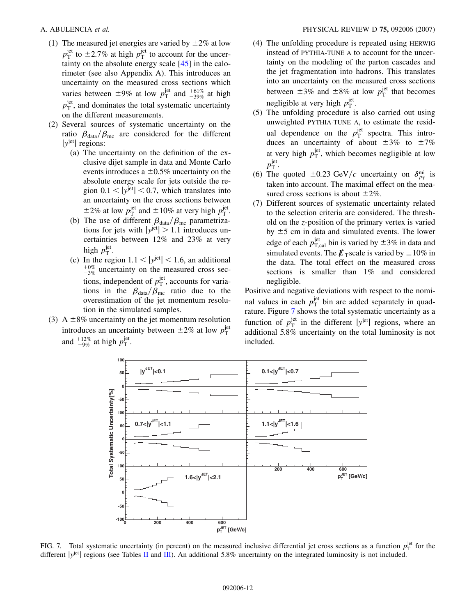- <span id="page-11-0"></span>(1) The measured jet energies are varied by  $\pm 2\%$  at low  $p_{\rm T}^{\rm jet}$  to  $\pm$ 2.7% at high  $p_{\rm T}^{\rm jet}$  to account for the uncertainty on the absolute energy scale [\[45\]](#page-18-0) in the calorimeter (see also Appendix A). This introduces an uncertainty on the measured cross sections which varies between  $\pm 9\%$  at low  $p_{\rm T}^{\rm jet}$  and  $^{+61\%}_{-39\%}$  at high  $p_{\rm T}^{\rm jet}$ , and dominates the total systematic uncertainty on the different measurements.
- (2) Several sources of systematic uncertainty on the ratio  $\beta_{data}/\beta_{\text{mc}}$  are considered for the different  $|y^{jet}|$  regions:
	- (a) The uncertainty on the definition of the exclusive dijet sample in data and Monte Carlo events introduces a  $\pm 0.5\%$  uncertainty on the absolute energy scale for jets outside the region  $0.1 < |y^{\text{jet}}| < 0.7$ , which translates into an uncertainty on the cross sections between  $\pm 2\%$  at low  $p_T^{\text{jet}}$  and  $\pm 10\%$  at very high  $p_T^{\text{jet}}$ .
	- (b) The use of different  $\beta_{data}/\beta_{mc}$  parametrizations for jets with  $|y^{jet}| > 1.1$  introduces uncertainties between 12% and 23% at very high  $p_T^{\text{jet}}$ .
	- (c) In the region  $1.1 < |y^{jet}| < 1.6$ , an additional  $^{+0\%}_{-3\%}$  uncertainty on the measured cross sections, independent of  $p_T^{\text{jet}}$ , accounts for variations in the  $\beta_{data}/\beta_{mc}$  ratio due to the overestimation of the jet momentum resolution in the simulated samples.
- (3) A  $\pm$ 8% uncertainty on the jet momentum resolution introduces an uncertainty between  $\pm 2\%$  at low  $p_T^{\text{jet}}$ and  $^{+12\%}_{-9\%}$  at high  $p_T^{\text{jet}}$ .
- (4) The unfolding procedure is repeated using HERWIG instead of PYTHIA-TUNE A to account for the uncertainty on the modeling of the parton cascades and the jet fragmentation into hadrons. This translates into an uncertainty on the measured cross sections between  $\pm 3\%$  and  $\pm 8\%$  at low  $p_{\rm T}^{\rm jet}$  that becomes negligible at very high  $p_T^{\text{jet}}$ .
- (5) The unfolding procedure is also carried out using unweighted PYTHIA-TUNE A, to estimate the residual dependence on the  $p_T^{\text{jet}}$  spectra. This introduces an uncertainty of about  $\pm 3\%$  to  $\pm 7\%$ at very high  $p_T^{\text{jet}}$ , which becomes negligible at low  $p_{\rm T}^{\rm jet}$ .
- (6) The quoted  $\pm 0.23$  GeV/c uncertainty on  $\delta_{p_T}^{\text{mi}}$  is taken into account. The maximal effect on the measured cross sections is about  $\pm 2\%$ .
- (7) Different sources of systematic uncertainty related to the selection criteria are considered. The threshold on the *z*-position of the primary vertex is varied by  $\pm 5$  cm in data and simulated events. The lower edge of each  $p_{\text{T,cal}}^{\text{jet}}$  bin is varied by  $\pm 3\%$  in data and simulated events. The  $\cancel{E}_T$  scale is varied by  $\pm 10\%$  in the data. The total effect on the measured cross sections is smaller than 1% and considered negligible.

Positive and negative deviations with respect to the nominal values in each  $p_T^{\text{jet}}$  bin are added separately in quadrature. Figure 7 shows the total systematic uncertainty as a function of  $p_T^{\text{jet}}$  in the different  $|y^{\text{jet}}|$  regions, where an additional 5.8% uncertainty on the total luminosity is not included.



FIG. 7. Total systematic uncertainty (in percent) on the measured inclusive differential jet cross sections as a function  $p_T^{\text{jet}}$  for the different |*y*<sup>jet</sup>| regions (see Tables [II](#page-9-0) and [III](#page-10-0)). An additional 5.8% uncertainty on the integrated luminosity is not included.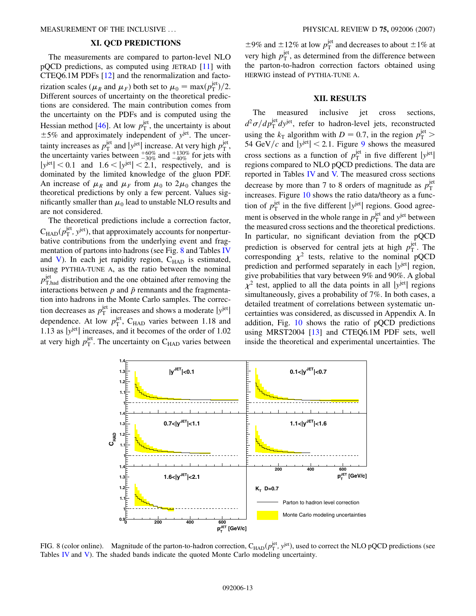## **XI. QCD PREDICTIONS**

<span id="page-12-0"></span>The measurements are compared to parton-level NLO pQCD predictions, as computed using JETRAD [\[11\]](#page-17-0) with CTEQ6.1M PDFs [[12](#page-17-0)] and the renormalization and factorization scales ( $\mu_R$  and  $\mu_F$ ) both set to  $\mu_0 = \max(p_T^{\text{jet}})/2$ . Different sources of uncertainty on the theoretical predictions are considered. The main contribution comes from the uncertainty on the PDFs and is computed using the Hessian method [\[46](#page-18-0)]. At low  $p_T^{\text{jet}}$ , the uncertainty is about 5% and approximately independent of *y*jet. The uncertainty increases as  $p_T^{\text{jet}}$  and  $|y^{\text{jet}}|$  increase. At very high  $p_T^{\text{jet}}$ , the uncertainty varies between  $^{+60\%}_{-30\%}$  and  $^{+130\%}_{-40\%}$  for jets with  $|y^{\text{jet}}|$  < 0.1 and 1.6 <  $|y^{\text{jet}}|$  < 2.1, respectively, and is dominated by the limited knowledge of the gluon PDF. An increase of  $\mu_R$  and  $\mu_F$  from  $\mu_0$  to  $2\mu_0$  changes the theoretical predictions by only a few percent. Values significantly smaller than  $\mu_0$  lead to unstable NLO results and are not considered.

The theoretical predictions include a correction factor,  $C_{HAD}(p_T^{\text{jet}}, y^{\text{jet}})$ , that approximately accounts for nonperturbative contributions from the underlying event and fragmentation of partons into hadrons (see Fig. 8 and Tables [IV](#page-13-0) and [V](#page-13-0)). In each jet rapidity region,  $C_{HAD}$  is estimated, using PYTHIA-TUNE A, as the ratio between the nominal  $p_{\text{T,had}}^{\text{jet}}$  distribution and the one obtained after removing the interactions between  $p$  and  $\bar{p}$  remnants and the fragmentation into hadrons in the Monte Carlo samples. The correction decreases as  $p_T^{\text{jet}}$  increases and shows a moderate  $|y^{\text{jet}}|$ dependence. At low  $p_{\rm T}^{\rm jet}$ , C<sub>HAD</sub> varies between 1.18 and 1.13 as j*y*jetj increases, and it becomes of the order of 1.02 at very high  $p_T^{\text{jet}}$ . The uncertainty on  $C_{\text{HAD}}$  varies between

 $\pm 9\%$  and  $\pm 12\%$  at low  $p_{\rm T}^{\rm jet}$  and decreases to about  $\pm 1\%$  at very high  $p_T^{\text{jet}}$ , as determined from the difference between the parton-to-hadron correction factors obtained using HERWIG instead of PYTHIA-TUNE A.

#### **XII. RESULTS**

The measured inclusive jet cross sections,  $d^2\sigma/dp_{\rm T}^{\rm jet}dy^{\rm jet}$ , refer to hadron-level jets, reconstructed using the  $k_T$  algorithm with  $D = 0.7$ , in the region  $p_T^{\text{jet}}$  > 54 GeV/c and  $|y^{jet}| < 2.1$ . Figure [9](#page-14-0) shows the measured cross sections as a function of  $p_{\rm T}^{\rm jet}$  in five different  $|y^{\rm jet}|$ regions compared to NLO pQCD predictions. The data are reported in Tables [IV](#page-13-0) and [V.](#page-13-0) The measured cross sections decrease by more than 7 to 8 orders of magnitude as  $p_T^{\text{jet}}$ increases. Figure [10](#page-14-0) shows the ratio data/theory as a function of  $p_T^{\text{jet}}$  in the five different  $|y^{\text{jet}}|$  regions. Good agreement is observed in the whole range in  $p_T^{\text{jet}}$  and  $y^{\text{jet}}$  between the measured cross sections and the theoretical predictions. In particular, no significant deviation from the pQCD prediction is observed for central jets at high  $p_T^{\text{jet}}$ . The corresponding  $\chi^2$  tests, relative to the nominal pQCD prediction and performed separately in each  $|y^{jet}|$  region, give probabilities that vary between 9% and 90%. A global  $\chi^2$  test, applied to all the data points in all |y<sup>jet</sup>| regions simultaneously, gives a probability of 7%. In both cases, a detailed treatment of correlations between systematic uncertainties was considered, as discussed in Appendix A. In addition, Fig. [10](#page-14-0) shows the ratio of pQCD predictions using MRST2004 [[13](#page-17-0)] and CTEQ6.1M PDF sets, well inside the theoretical and experimental uncertainties. The



FIG. 8 (color online). Magnitude of the parton-to-hadron correction,  $C_{HAD}(p_T^{\text{jet}}, y^{\text{jet}})$ , used to correct the NLO pQCD predictions (see Tables [IV](#page-13-0) and [V](#page-13-0)). The shaded bands indicate the quoted Monte Carlo modeling uncertainty.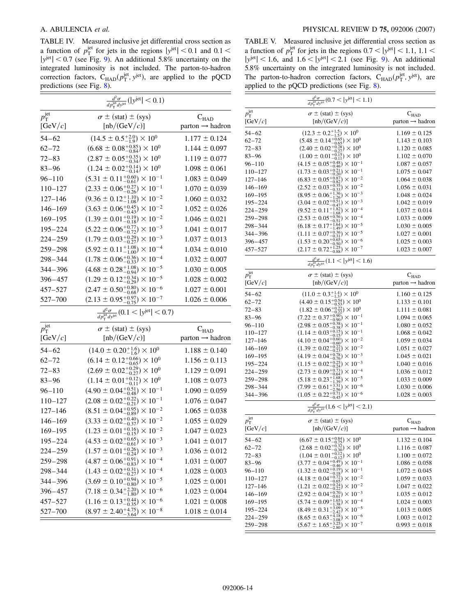<span id="page-13-0"></span>TABLE IV. Measured inclusive jet differential cross section as a function of  $p_{\rm T}^{\rm jet}$  for jets in the regions  $|y^{\rm jet}| < 0.1$  and  $0.1 <$ j*y*jetj *<* 0*:*7 (see Fig. [9](#page-14-0)). An additional 5.8% uncertainty on the integrated luminosity is not included. The parton-to-hadron correction factors,  $C_{HAD}(p_T^{\text{jet}}, y^{\text{jet}})$ , are applied to the pQCD predictions (see Fig. [8](#page-12-0)).

|                       | $\frac{d^2\sigma}{dp_\mathrm{T}^\mathrm{jet} dy^\mathrm{jet}}( y^\mathrm{jet}  < 0.1)$ |                             |
|-----------------------|----------------------------------------------------------------------------------------|-----------------------------|
| $p_{\rm T}^{\rm jet}$ | $\sigma \pm (stat) \pm (sys)$                                                          | $C_{HAD}$                   |
| [GeV/ $c$ ]           | $[{\rm nb}/({\rm GeV}/c)]$                                                             | $parton \rightarrow hadron$ |
| 54–62                 | $(14.5 \pm 0.5^{+2.0}_{-1.9}) \times 10^{0}$                                           | $1.177 \pm 0.124$           |
| $62 - 72$             | $(6.68 \pm 0.08^{+0.85}_{-0.84}) \times 10^{0}$                                        | $1.144 \pm 0.097$           |
| $72 - 83$             | $(2.87 \pm 0.05^{+0.35}_{-0.34}) \times 10^{0}$                                        | $1.119 \pm 0.077$           |
| $83 - 96$             | $(1.24 \pm 0.02^{+0.14}_{-0.14}) \times 10^{0}$                                        | $1.098 \pm 0.061$           |
| $96 - 110$            | $(5.31 \pm 0.11^{+0.60}_{-0.61}) \times 10^{-1}$                                       | $1.083 \pm 0.049$           |
| $110 - 127$           | $(2.33 \pm 0.06_{-0.26}^{+0.27}) \times 10^{-1}$                                       | $1.070 \pm 0.039$           |
| $127 - 146$           | $(9.36 \pm 0.12^{+1.10}_{-1.08}) \times 10^{-2}$                                       | $1.060 \pm 0.032$           |
| $146 - 169$           | $(3.63 \pm 0.06_{-0.43}^{+0.45}) \times 10^{-2}$                                       | $1.052 \pm 0.026$           |
| $169 - 195$           | $(1.39 \pm 0.01_{-0.18}^{+0.19}) \times 10^{-2}$                                       | $1.046 \pm 0.021$           |
| $195 - 224$           | $(5.22 \pm 0.06_{-0.72}^{+0.77}) \times 10^{-3}$                                       | $1.041 \pm 0.017$           |
| 224-259               | $(1.79 \pm 0.03_{-0.27}^{+0.29}) \times 10^{-3}$                                       | $1.037 \pm 0.013$           |
| 259–298               | $(5.92 \pm 0.11^{+1.08}_{-1.00}) \times 10^{-4}$                                       | $1.034 \pm 0.010$           |
| $298 - 344$           | $(1.78 \pm 0.06^{+0.36}_{-0.33}) \times 10^{-4}$                                       | $1.032 \pm 0.007$           |
| 344-396               | $(4.68 \pm 0.28^{+1.08}_{-0.94}) \times 10^{-5}$                                       | $1.030 \pm 0.005$           |
| 396-457               | $(1.29 \pm 0.12^{+0.34}_{-0.29}) \times 10^{-5}$                                       | $1.028 \pm 0.002$           |
| 457-527               | $(2.47 \pm 0.50^{+0.80}_{-0.68}) \times 10^{-6}$                                       | $1.027 \pm 0.001$           |
| 527-700               | $(2.13 \pm 0.95^{+0.97}_{-0.75}) \times 10^{-7}$                                       | $1.026 \pm 0.006$           |
|                       | $\frac{d^2\sigma}{dp_T^{\text{jet}}dy^{\text{jet}}} (0.1 <  y^{\text{jet}}  < 0.7)$    |                             |
| $p_{\rm T}^{\rm jet}$ | $\sigma \pm (stat) \pm (sys)$                                                          | $C_{HAD}$                   |
| [GeV/ $c$ ]           | $[{\rm nb}/({\rm GeV}/c)]$                                                             | $parton \rightarrow hadron$ |
| $54 - 62$             | $(14.0 \pm 0.20^{+1.6}_{-1.6}) \times 10^{0}$                                          | $1.188 \pm 0.140$           |
| $62 - 72$             | $(6.14 \pm 0.12^{+0.66}_{-0.65}) \times 10^{0}$                                        | $1.156 \pm 0.113$           |
| $72 - 83$             | $(2.69 \pm 0.02^{+0.29}_{-0.27}) \times 10^{0}$                                        | $1.129 \pm 0.091$           |
| $83 - 96$             | $(1.14 \pm 0.01^{+0.12}_{-0.11}) \times 10^{0}$                                        | $1.108 \pm 0.073$           |
| $96 - 110$            | $(4.90 \pm 0.04_{-0.48}^{+0.51}) \times 10^{-1}$                                       | $1.090 \pm 0.059$           |
| $110 - 127$           | $(2.08 \pm 0.02^{+0.22}_{-0.21}) \times 10^{-1}$                                       | $1.076 \pm 0.047$           |
| $127 - 146$           | $(8.51 \pm 0.04^{+0.95}_{-0.89}) \times 10^{-2}$                                       | $1.065 \pm 0.038$           |
| $146 - 169$           | $(3.33 \pm 0.02^{+0.40}_{-0.37}) \times 10^{-2}$                                       | $1.055 \pm 0.029$           |
| $169 - 195$           | $(1.23 \pm 0.01_{-0.15}^{+0.16}) \times 10^{-2}$                                       | $1.047 \pm 0.023$           |
| $195 - 224$           | $(4.53 \pm 0.02^{+0.65}_{-0.61}) \times 10^{-3}$                                       | $1.041 \pm 0.017$           |
| $224 - 259$           | $(1.57 \pm 0.01^{+0.26}_{-0.24}) \times 10^{-3}$                                       | $1.036 \pm 0.012$           |
| $259 - 298$           | $(4.87 \pm 0.06_{-0.83}^{+0.91}) \times 10^{-4}$                                       | $1.031 \pm 0.007$           |
| $298 - 344$           | $(1.43\pm0.02^{+0.31}_{-0.27})\times10^{-4}$                                           | $1.028 \pm 0.003$           |
| $344 - 396$           | $(3.69 \pm 0.10^{+0.94}_{-0.80}) \times 10^{-5}$                                       | $1.025 \pm 0.001$           |
| $396 - 457$           | $(7.18 \pm 0.34^{+2.20}_{-1.80}) \times 10^{-6}$                                       | $1.023 \pm 0.004$           |
| 457-527               | $(1.16 \pm 0.13^{+0.44}_{-0.35}) \times 10^{-6}$                                       | $1.021 \pm 0.008$           |
| 527-700               | $(8.97 \pm 2.40^{+4.75}_{-3.64}) \times 10^{-8}$                                       | $1.018 \pm 0.014$           |

TABLE V. Measured inclusive jet differential cross section as a function of  $p_T^{\text{jet}}$  for jets in the regions  $0.7 < |y^{\text{jet}}| < 1.1, 1.1 <$  $|y^{jet}|$  < 1.6, and 1.6 <  $|y^{jet}|$  < 2.1 (see Fig. [9\)](#page-14-0). An additional 5.8% uncertainty on the integrated luminosity is not included. The parton-to-hadron correction factors,  $C_{HAD}(p_T^{\text{jet}}, y^{\text{jet}})$ , are applied to the pQCD predictions (see Fig. [8](#page-12-0)).

|                       | $\frac{d^2\sigma}{dp_T^{\text{jet}}dy^{\text{jet}}}(0.7 <  y^{\text{jet}}  < 1.1)$                     |                             |
|-----------------------|--------------------------------------------------------------------------------------------------------|-----------------------------|
| $p_{\rm T}^{\rm jet}$ | $\sigma \pm (stat) \pm (sys)$                                                                          | $\mathbf{C}_\text{HAD}$     |
| [ $GeV/c$ ]           | [nb/(GeV/c)]                                                                                           | $parton \rightarrow hadron$ |
| 54–62                 | $(12.3 \pm 0.2^{+1.5}_{-1.5}) \times 10^{0}$<br>(5.48 ± 0.14 <sup>+0.65</sup> ) × 10 <sup>0</sup>      | $1.169 \pm 0.125$           |
| $62 - 72$             |                                                                                                        | $1.143 \pm 0.103$           |
| 72–83                 | $(2.40 \pm 0.02_{-0.27}^{+0.28}) \times 10^{0}$                                                        | $1.120 \pm 0.085$           |
| 83–96                 | $(1.00 \pm 0.01_{-0.11}^{+0.15}) \times 10^{0}$<br>(4.15 ± 0.05 <sup>+0.48</sup> ) × 10 <sup>-1</sup>  | $1.102 \pm 0.070$           |
| 96–110                |                                                                                                        | $1.087 \pm 0.057$           |
| $110 - 127$           | $(1.73 \pm 0.03_{-0.20}^{+0.21}) \times 10^{-1}$                                                       | $1.075 \pm 0.047$           |
| $127 - 146$           | $(6.83 \pm 0.05^{+0.87}_{-0.82}) \times 10^{-2}$                                                       | $1.064 \pm 0.038$           |
| $146 - 169$           | $(2.52 \pm 0.03_{-0.33}^{+0.35}) \times 10^{-2}$                                                       | $1.056 \pm 0.031$           |
| $169 - 195$           | $(8.95 \pm 0.06^{+1.36}_{-1.26}) \times 10^{-3}$                                                       | $1.048 \pm 0.024$           |
| $195 - 224$           | $(3.04 \pm 0.02^{+0.51}_{-0.47}) \times 10^{-3}$<br>$(9.52 \pm 0.11^{+1.82}_{-1.68}) \times 10^{-4}$   | $1.042 \pm 0.019$           |
| $224 - 259$           |                                                                                                        | $1.037 \pm 0.014$           |
| $259 - 298$           | $(2.53 \pm 0.05^{+0.56}_{-0.51}) \times 10^{-4}$                                                       | $1.033 \pm 0.009$           |
| 298–344               | $(6.18 \pm 0.17^{+1.64}_{-1.49}) \times 10^{-5}$                                                       | $1.030 \pm 0.005$           |
| 344-396               | $(1.11 \pm 0.07^{+0.36}_{-0.31}) \times 10^{-5}$                                                       | $1.027 \pm 0.001$           |
| 396–457               | $(1.53 \pm 0.20^{+0.65}_{-0.50}) \times 10^{-6}$<br>$(2.17 \pm 0.72^{+1.25}_{-0.88}) \times 10^{-7}$   | $1.025 \pm 0.003$           |
| 457-527               |                                                                                                        | $1.023 \pm 0.007$           |
|                       | $\frac{d^2\sigma}{dp_{\rm T}^{\rm jet}dy^{\rm jet}}$ (1.1 <   $y^{\rm jet}$   < 1.6)                   |                             |
| $p_{\rm T}^{\rm jet}$ | $\sigma \pm (stat) \pm (sys)$                                                                          | $C_{HAD}$                   |
| [GeV/c]               | $[{\rm nb}/({\rm GeV}/c)]$                                                                             | parton $\rightarrow$ hadron |
| 54–62                 | $(11.0 \pm 0.3^{+1.4}_{-1.3}) \times 10^{0}$                                                           | $1.160 \pm 0.125$           |
| $62 - 72$             |                                                                                                        | $1.133 \pm 0.101$           |
| 72–83                 | $(4.40 \pm 0.15^{+0.54}_{-0.53}) \times 10^{0}$<br>$(1.82 \pm 0.06^{+0.22}_{-0.22}) \times 10^{0}$     | $1.111 \pm 0.081$           |
| 83–96                 | $(7.22 \pm 0.37^{+0.90}_{-0.90}) \times 10^{-1}$                                                       | $1.094 \pm 0.065$           |
| 96–110                | $(2.98 \pm 0.05^{+0.38}_{-0.38}) \times 10^{-1}$<br>$(1.14 \pm 0.03^{+0.15}_{-0.15}) \times 10^{-1}$   | $1.080 \pm 0.052$           |
| $110 - 127$           |                                                                                                        | $1.068 \pm 0.042$           |
| $127 - 146$           | $(4.10 \pm 0.04^{+0.60}_{-0.60}) \times 10^{-2}$                                                       | $1.059 \pm 0.034$           |
| $146 - 169$           | $(1.39 \pm 0.02^{+0.22}_{-0.23}) \times 10^{-2}$<br>$(4.19 \pm 0.04^{+0.78}_{-0.76}) \times 10^{-3}$   | $1.051 \pm 0.027$           |
| $169 - 195$           |                                                                                                        | $1.045 \pm 0.021$           |
| $195 - 224$           | $(1.15 \pm 0.02_{-0.24}^{+0.25}) \times 10^{-3}$                                                       | $1.040 \pm 0.016$           |
| 224–259               | $(2.73 \pm 0.09_{-0.64}^{+0.73}) \times 10^{-4}$                                                       | $1.036 \pm 0.012$           |
| 259–298               | $(5.18 \pm 0.23^{+1.68}_{-1.39}) \times 10^{-5}$                                                       | $1.033 \pm 0.009$           |
| 298–344               | $(7.99 \pm 0.61^{+3.31}_{-2.56}) \times 10^{-6}$<br>$(1.05 \pm 0.22^{+0.71}_{-0.45}) \times 10^{-6}$   | $1.030 \pm 0.006$           |
| 344–396               |                                                                                                        | $1.028 \pm 0.003$           |
|                       | $\frac{d^2\sigma}{dp_{\rm T}^{\rm jet}dy^{\rm jet}}$ (1.6 <  y <sup>jet</sup>   < 2.1)                 |                             |
| $p_{\rm T}^{\rm jet}$ | $\sigma \pm (stat) \pm (sys)$                                                                          | $C_{\rm HAD}$               |
| [GeV/ $c$ ]           | $[{\rm nb}/({\rm GeV}/c)]$                                                                             | parton $\rightarrow$ hadron |
| 54–62                 | $(6.67 \pm 0.15^{+0.84}_{-0.75}) \times 10^{0}$                                                        | $1.132 \pm 0.104$           |
| $62 - 72$             | $(2.68 \pm 0.02_{-0.30}^{+0.32}) \times 10^{0}$                                                        | $1.116 \pm 0.087$           |
| 72–83                 | $(1.04 \pm 0.01^{+0.12}_{-0.12}) \times 10^{0}$<br>$(3.77 \pm 0.04^{+0.49}_{-0.46}) \times 10^{-1}$    | $1.100 \pm 0.072$           |
| $83 - 96$             |                                                                                                        | $1.086 \pm 0.058$           |
| 96–110                | $(1.32 \pm 0.02_{-0.18}^{+0.19}) \times 10^{-1}$                                                       | $1.072 \pm 0.045$           |
| $110 - 127$           | $(4.18 \pm 0.04_{-0.65}^{+0.72}) \times 10^{-2}$<br>(1.21 ± 0.02 <sup>+0.24</sup> ) × 10 <sup>-2</sup> | $1.059 \pm 0.033$           |
| $127 - 146$           |                                                                                                        | $1.047 \pm 0.022$           |
| $146 - 169$           | $(2.92 \pm 0.04^{+0.70}_{-0.61}) \times 10^{-3}$                                                       | $1.035 \pm 0.012$           |
| $169 - 195$           | $(5.74 \pm 0.09^{+1.65}_{-1.38}) \times 10^{-4}$<br>$(8.49 \pm 0.31^{+3.09}_{-2.42}) \times 10^{-5}$   | $1.024 \pm 0.003$           |
| $195 - 224$           |                                                                                                        | $1.013 \pm 0.005$           |
| $224 - 259$           | $(8.65 \pm 0.63^{+4.18}_{-3.08}) \times 10^{-6}$                                                       | $1.003 \pm 0.012$           |
| 259–298               | $(5.67 \pm 1.65^{+3.25}_{-2.80}) \times 10^{-7}$                                                       | $0.993 \pm 0.018$           |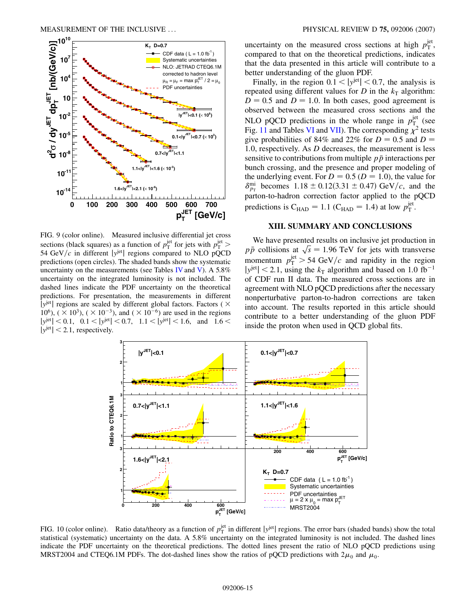<span id="page-14-0"></span>

FIG. 9 (color online). Measured inclusive differential jet cross sections (black squares) as a function of  $p_T^{\text{jet}}$  for jets with  $p_T^{\text{jet}}$  > 54 GeV/ $c$  in different  $|y^{jet}|$  regions compared to NLO pQCD predictions (open circles). The shaded bands show the systematic uncertainty on the measurements (see Tables [IV](#page-13-0) and [V](#page-13-0)). A  $5.8\%$ uncertainty on the integrated luminosity is not included. The dashed lines indicate the PDF uncertainty on the theoretical predictions. For presentation, the measurements in different *|y<sup>jet</sup>*| regions are scaled by different global factors. Factors ( $\times$ 10<sup>6</sup>), (  $\times$  10<sup>3</sup>), (  $\times$  10<sup>-3</sup>), and (  $\times$  10<sup>-6</sup>) are used in the regions  $|y^{jet}|$  < 0.1, 0.1 <  $|y^{jet}|$  < 0.7, 1.1 <  $|y^{jet}|$  < 1.6, and 1.6 <  $|y^{jet}|$  < 2.1, respectively.

uncertainty on the measured cross sections at high  $p_T^{\text{jet}}$ , compared to that on the theoretical predictions, indicates that the data presented in this article will contribute to a better understanding of the gluon PDF.

Finally, in the region  $0.1 < |y^{jet}| < 0.7$ , the analysis is repeated using different values for *D* in the  $k<sub>T</sub>$  algorithm:  $D = 0.5$  and  $D = 1.0$ . In both cases, good agreement is observed between the measured cross sections and the NLO pQCD predictions in the whole range in  $p_{\rm T_2}^{\rm jet}$  (see Fig. [11](#page-15-0) and Tables [VI](#page-16-0) and [VII\)](#page-16-0). The corresponding  $\chi^2$  tests give probabilities of 84% and 22% for  $D = 0.5$  and  $D = 0$ 1*:*0, respectively. As *D* decreases, the measurement is less sensitive to contributions from multiple  $p\bar{p}$  interactions per bunch crossing, and the presence and proper modeling of the underlying event. For  $D = 0.5$  ( $D = 1.0$ ), the value for  $\delta_{p_{\text{T}}}^{\text{mi}}$  becomes 1.18 ± 0.12(3.31 ± 0.47) GeV/c, and the parton-to-hadron correction factor applied to the pQCD predictions is  $C_{HAD} = 1.1$  ( $C_{HAD} = 1.4$ ) at low  $p_T^{\text{jet}}$ .

#### **XIII. SUMMARY AND CONCLUSIONS**

We have presented results on inclusive jet production in we have presented results on inclusive jet production in  $p\bar{p}$  collisions at  $\sqrt{s}$  = 1.96 TeV for jets with transverse momentum  $p_T^{\text{jet}} > 54 \text{ GeV}/c$  and rapidity in the region  $|y^{jet}|$  < 2.1, using the  $k<sub>T</sub>$  algorithm and based on 1.0 fb<sup>-1</sup> of CDF run II data. The measured cross sections are in agreement with NLO pQCD predictions after the necessary nonperturbative parton-to-hadron corrections are taken into account. The results reported in this article should contribute to a better understanding of the gluon PDF inside the proton when used in QCD global fits.



FIG. 10 (color online). Ratio data/theory as a function of  $p_T^{\text{jet}}$  in different  $|y^{\text{jet}}|$  regions. The error bars (shaded bands) show the total statistical (systematic) uncertainty on the data. A 5.8% uncertainty on the integrated luminosity is not included. The dashed lines indicate the PDF uncertainty on the theoretical predictions. The dotted lines present the ratio of NLO pQCD predictions using MRST2004 and CTEQ6.1M PDFs. The dot-dashed lines show the ratios of pQCD predictions with  $2\mu_0$  and  $\mu_0$ .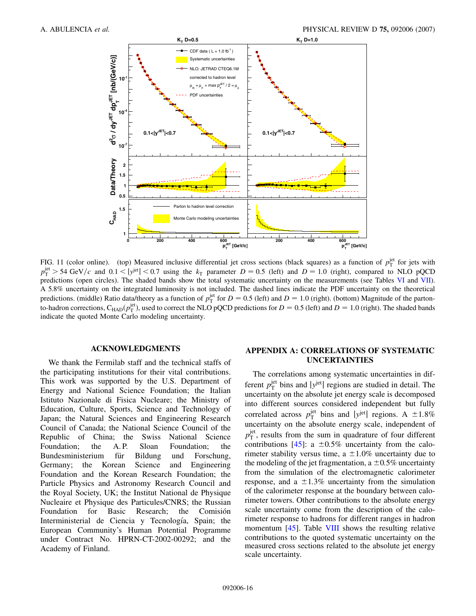<span id="page-15-0"></span>

FIG. 11 (color online). (top) Measured inclusive differential jet cross sections (black squares) as a function of  $p_T^{\text{jet}}$  for jets with  $p_T^{\text{jet}} > 54 \text{ GeV}/c$  and  $0.1 < |y^{\text{jet}}| < 0.7$  using the  $k_T$  parameter  $D = 0.5$  (left) and  $D = 1.0$  (right), compared to NLO pQCD predictions (open circles). The shaded bands show the total systematic uncertainty on the measurements (see Tables [VI](#page-16-0) and [VII\)](#page-16-0). A 5.8% uncertainty on the integrated luminosity is not included. The dashed lines indicate the PDF uncertainty on the theoretical predictions. (middle) Ratio data/theory as a function of  $p_T^{\text{jet}}$  for  $D = 0.5$  (left) and  $D = 1.0$  (right). (bottom) Magnitude of the partonto-hadron corrections,  $C_{HAD}(p_T^{\text{jet}})$ , used to correct the NLO pQCD predictions for  $D = 0.5$  (left) and  $D = 1.0$  (right). The shaded bands indicate the quoted Monte Carlo modeling uncertainty.

#### **ACKNOWLEDGMENTS**

We thank the Fermilab staff and the technical staffs of the participating institutions for their vital contributions. This work was supported by the U.S. Department of Energy and National Science Foundation; the Italian Istituto Nazionale di Fisica Nucleare; the Ministry of Education, Culture, Sports, Science and Technology of Japan; the Natural Sciences and Engineering Research Council of Canada; the National Science Council of the Republic of China; the Swiss National Science Foundation; the A.P. Sloan Foundation; the Bundesministerium für Bildung und Forschung, Germany; the Korean Science and Engineering Foundation and the Korean Research Foundation; the Particle Physics and Astronomy Research Council and the Royal Society, UK; the Institut National de Physique Nucleaire et Physique des Particules/CNRS; the Russian Foundation for Basic Research; the Comisión Interministerial de Ciencia y Tecnología, Spain; the European Community's Human Potential Programme under Contract No. HPRN-CT-2002-00292; and the Academy of Finland.

## **APPENDIX A: CORRELATIONS OF SYSTEMATIC UNCERTAINTIES**

The correlations among systematic uncertainties in different  $p_T^{\text{jet}}$  bins and  $|y^{\text{jet}}|$  regions are studied in detail. The uncertainty on the absolute jet energy scale is decomposed into different sources considered independent but fully correlated across  $p_T^{\text{jet}}$  bins and |*y*<sup>jet</sup>| regions. A  $\pm 1.8\%$ uncertainty on the absolute energy scale, independent of  $p_{\rm T}^{\rm jet}$ , results from the sum in quadrature of four different contributions [\[45\]](#page-18-0): a  $\pm 0.5\%$  uncertainty from the calorimeter stability versus time, a  $\pm 1.0\%$  uncertainty due to the modeling of the jet fragmentation,  $a \pm 0.5\%$  uncertainty from the simulation of the electromagnetic calorimeter response, and a  $\pm 1.3\%$  uncertainty from the simulation of the calorimeter response at the boundary between calorimeter towers. Other contributions to the absolute energy scale uncertainty come from the description of the calorimeter response to hadrons for different ranges in hadron momentum [\[45\]](#page-18-0). Table [VIII](#page-17-0) shows the resulting relative contributions to the quoted systematic uncertainty on the measured cross sections related to the absolute jet energy scale uncertainty.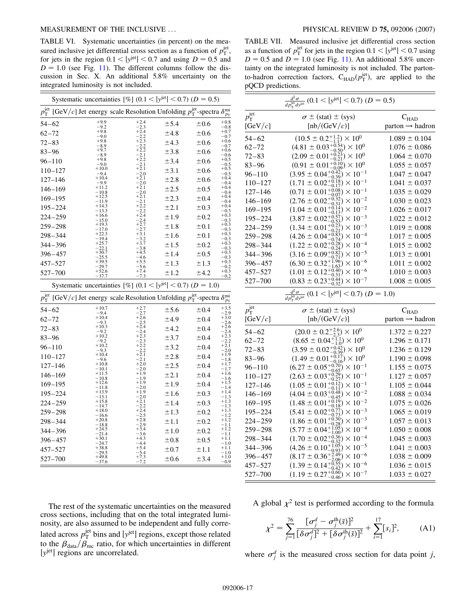#### <span id="page-16-0"></span>MEASUREMENT OF THE INCLUSIVE ... PHYSICAL REVIEW D **75,** 092006 (2007)

TABLE VI. Systematic uncertainties (in percent) on the measured inclusive jet differential cross section as a function of  $p_T^{\text{jet}}$ , for jets in the region  $0.1 < |y^{jet}| < 0.7$  and using  $D = 0.5$  and  $D = 1.0$  (see Fig. [11\)](#page-15-0). The different columns follow the discussion in Sec. X. An additional 5.8% uncertainty on the integrated luminosity is not included.

|                       |             |                            | Systematic uncertainties [%] (0.1 < $ y^{\text{jet}} $ < 0.7) (D = 0.5)                              |           |           |                         |
|-----------------------|-------------|----------------------------|------------------------------------------------------------------------------------------------------|-----------|-----------|-------------------------|
| $p_{\rm T}^{\rm jet}$ |             |                            | [GeV/c] Jet energy scale Resolution Unfolding $p_T^{\text{jet}}$ -spectra $\delta_{p_T}^{\text{mi}}$ |           |           | $p_{\rm T}$             |
| $54 - 62$             |             | $+9.9$                     | $+2.4$<br>2.3                                                                                        | ± 5.4     | $\pm 0.6$ | $+0.8$<br>0.8           |
| $62 - 72$             |             | $-9.2$<br>+9.8<br>9.0      | $+2.4$                                                                                               | ±4.8      | ±0.6      | $+0.7$<br>0.7           |
| $72 - 83$             |             | $+9.8$<br>-89              | $+2.3$                                                                                               | ±4.3      | ±0.6      | $+0.6$                  |
| $83 - 96$             |             | $+9.7$<br>8.9              |                                                                                                      | ±3.8      | ±0.6      | $_{0.7}$<br>$+0.6$      |
|                       | $96 - 110$  | $+9.8$                     | $+2.2$                                                                                               | ±3.4      | ±0.6      | 0.6<br>$+0.5$           |
|                       | $110 - 127$ | -9.0<br>$+10.0$<br>94      | 2.1<br>$+2.1$<br>2.0                                                                                 | ±3.1      | ±0.6      | $-0.5$<br>+0.5<br>0.5   |
|                       | $127 - 146$ | +10.4<br>-99               | $+2.1$<br>2.0                                                                                        | ±2.8      | ±0.6      | 0.4<br>0.4              |
|                       | $146 - 169$ | $+11.2$<br>10.8            | $+2.1$<br>2.0                                                                                        | ±2.5      | ±0.5      | 0.4<br>0.4              |
|                       | $169 - 195$ | $+12.5$<br>11.9            |                                                                                                      | ±2.3      | ±0.4      | 0.4<br>0.4              |
|                       | $195 - 224$ | $+143$<br>$-13.3$          | 22                                                                                                   | $\pm 2.1$ | ±0.3      | $+0.4$                  |
|                       | $224 - 259$ |                            |                                                                                                      | ±1.9      | ±0.2      | $-0.3$<br>+0.3<br>0.3   |
|                       | $259 - 298$ | $+19.3$<br>7.0             |                                                                                                      | ±1.8      | ±0.1      | $+0.3$<br>0.3           |
|                       | $298 - 344$ | 19.4                       |                                                                                                      | ±1.6      | ±0.1      | $+0.3$<br>$_{0.3}$      |
|                       | 344-396     |                            |                                                                                                      | ±1.5      | ±0.2      | $+0.3$                  |
|                       | $396 - 457$ |                            | 6                                                                                                    | ±1.4      | ±0.5      | $0.3$<br>$0.3$<br>0.3   |
|                       | 457-527     | 39.5<br>29.7               | 5.6                                                                                                  | ±1.3      | ±1.3      | $+0.3$<br>0.2           |
|                       | 527-700     | 52.6<br>37.7               | 7.3                                                                                                  | ±1.2      | ±4.2      | $+0.3$<br>$-0.2$        |
|                       |             |                            |                                                                                                      |           |           |                         |
|                       |             |                            | Systematic uncertainties [%] (0.1 < $ y^{\text{jet}} $ < 0.7) (D = 1.0)                              |           |           |                         |
| $p_{\rm T}^{\rm jet}$ |             |                            | [GeV/c] Jet energy scale Resolution Unfolding $p_T^{\text{jet}}$ -spectra $\delta_{p_T}^{\text{mi}}$ |           |           |                         |
| $54 - 62$             |             | $+10.7$                    | $+2.7$                                                                                               | ±5.6      | ±0.4      | 3.5<br>2.9              |
| $62 - 72$             |             | $-9.4$<br>$+10.4$          | 2.7<br>$+2.6$                                                                                        | ±4.9      | ±0.4      | $+3.0$                  |
| 72–83                 |             | $-9.3$<br>$+10.3$          | 2.5<br>2.4                                                                                           | $\pm4.2$  | ±0.4      | 2.6<br>2.6              |
| $83 - 96$             |             | 9.2<br>$+10.2$             |                                                                                                      | ±3.7      | ±0.4      | 2.4<br>3                |
|                       | $96 - 110$  | 9.2<br>$+10.2$             |                                                                                                      | ±3.2      | ±0.4      | 2.2<br>2.1<br>2.0       |
|                       | $110 - 127$ | 9.3<br>$+10.4$             |                                                                                                      | ±2.8      | ±0.4      | 1.9                     |
|                       | $127 - 146$ | $+10.8$<br>10 <sub>1</sub> | $+2.0$<br>20                                                                                         | ±2.5      | ±0.4      | .8<br>1.7               |
|                       | $146 - 169$ | $+11.5$                    |                                                                                                      | $\pm 2.1$ | ±0.4      | 1.7<br>1.6              |
|                       | $169 - 195$ | 10.8<br>$+12.6$<br>18      |                                                                                                      | ±1.9      | ±0.4      | .6<br>1.5<br>l 4        |
|                       | $195 - 224$ | $+13.9$                    |                                                                                                      | ±1.6      | ±0.3      | .4                      |
|                       | $224 - 259$ | $+15.8$<br>14.7            | $+2.1$<br>2.2                                                                                        | ±1.4      | ±0.3      | .3<br>$\cdot$ 3         |
|                       | $259 - 298$ | 16.6                       | +2.4<br>2.5                                                                                          | ±1.3      | ±0.2      | $\frac{1.3}{1.3}$       |
|                       | $298 - 344$ | $+20.8$<br>18.8            | $+2.8$<br>29                                                                                         | ±1.1      | ±0.2      | 1.2<br>1.2              |
|                       | $344 - 396$ |                            |                                                                                                      | ±1.0      | ±0.2      | 1.1<br>1.2<br>1.1       |
|                       | $396 - 457$ | +30.1                      |                                                                                                      | ±0.8      | ±0.5      | 1.1<br>1.0              |
|                       | $457 - 527$ | $+38.8$<br>29.5<br>$+49.8$ |                                                                                                      | ±0.7      | ±1.1      | $+1.1$<br>1.0<br>$+1.0$ |

The rest of the systematic uncertainties on the measured cross sections, including that on the total integrated luminosity, are also assumed to be independent and fully correlated across  $p_T^{\text{jet}}$  bins and  $|y^{\text{jet}}|$  regions, except those related to the  $\beta_{data}/\beta_{mc}$  ratio, for which uncertainties in different |  $y^{jet}$ | regions are uncorrelated.

TABLE VII. Measured inclusive jet differential cross section as a function of  $p_T^{\text{jet}}$  for jets in the region  $0.1 < |y^{\text{jet}}| < 0.7$  using  $D = 0.5$  and  $D = 1.0$  (see Fig. [11\)](#page-15-0). An additional 5.8% uncertainty on the integrated luminosity is not included. The partonto-hadron correction factors,  $C_{\text{HAD}}(p_T^{\text{jet}})$ , are applied to the pQCD predictions.

|                                      | $\frac{d^2\sigma}{dp_r^{\text{jet}}}$ (0.1 <  y <sup>jet</sup>   < 0.7) (D = 0.5)                                                                                                                                          |                                                          |
|--------------------------------------|----------------------------------------------------------------------------------------------------------------------------------------------------------------------------------------------------------------------------|----------------------------------------------------------|
| $p_{\rm T}^{\rm jet}$                | $\sigma \pm (stat) \pm (sys)$                                                                                                                                                                                              | $\rm C_{HAD}$                                            |
| [ $GeV/c$ ]                          | [nb/(GeV/ $c$ )]                                                                                                                                                                                                           | $parton \rightarrow hadron$                              |
| $54 - 62$                            | $(10.5 \pm 0.2 ^{+1.2}_{-1.1}) \times 10^{0}$                                                                                                                                                                              | $1.089 \pm 0.104$                                        |
| 62–72                                | $(4.81 \pm 0.03_{-0.50}^{+0.54}) \times 10^{0}$<br>$(2.09 \pm 0.01_{-0.21}^{+0.23}) \times 10^{0}$                                                                                                                         | $1.076 \pm 0.086$                                        |
| $72 - 83$                            |                                                                                                                                                                                                                            | $1.064 \pm 0.070$                                        |
| 83–96                                | $(0.91 \pm 0.01_{-0.09}^{+0.10}) \times 10^{0}$                                                                                                                                                                            | $1.055 \pm 0.057$                                        |
| $96 - 110$                           | $(3.95 \pm 0.04^{+0.42}_{-0.39}) \times 10^{-1}$                                                                                                                                                                           | $1.047 \pm 0.047$                                        |
| $110 - 127$                          | $(1.71 \pm 0.02^{+0.18}_{-0.17}) \times 10^{-1}$<br>$(0.71 \pm 0.01^{+0.08}_{-0.07}) \times 10^{-1}$                                                                                                                       | $1.041 \pm 0.037$                                        |
| $127 - 146$                          |                                                                                                                                                                                                                            | $1.035 \pm 0.029$                                        |
| $146 - 169$                          | $(2.76 \pm 0.02_{-0.31}^{+0.32}) \times 10^{-2}$                                                                                                                                                                           | $1.030 \pm 0.023$                                        |
| $169 - 195$                          | $(1.04 \pm 0.01^{+0.00})$<br>$\frac{0.14}{0.13}$ $\times 10^{-2}$                                                                                                                                                          | $1.026 \pm 0.017$                                        |
| $195 - 224$                          | $(3.87 \pm 0.02^{+0.57}_{-0.53}) \times 10^{-3}$<br>(1.34 ± 0.01 <sup>+0.23</sup> ) × 10 <sup>-3</sup>                                                                                                                     | $1.022 \pm 0.012$                                        |
| $224 - 259$                          |                                                                                                                                                                                                                            | $1.019 \pm 0.008$                                        |
| $259 - 298$                          | $(4.26 \pm 0.04_{-0.74}^{+0.83}) \times 10^{-4}$                                                                                                                                                                           | $1.017 \pm 0.005$                                        |
| 298–344                              | $(1.22 \pm 0.02^{+0.28}_{-0.24}) \times 10^{-4}$                                                                                                                                                                           | $1.015 \pm 0.002$                                        |
| 344-396                              | $(3.16 \pm 0.09_{-0.71}^{+0.82}) \times 10^{-5}$<br>$(6.30 \pm 0.32_{-1.63}^{+1.96}) \times 10^{-6}$                                                                                                                       | $1.013 \pm 0.001$                                        |
| $396 - 457$                          |                                                                                                                                                                                                                            | $1.011 \pm 0.002$                                        |
| 457-527                              | $(1.01 \pm 0.12^{+0.40}_{-0.31}) \times 10^{-6}$                                                                                                                                                                           | $1.010 \pm 0.003$                                        |
| 527–700                              | $(0.83 \pm 0.23_{-0.32}^{+0.44}) \times 10^{-7}$                                                                                                                                                                           | $1.008 \pm 0.005$                                        |
|                                      |                                                                                                                                                                                                                            |                                                          |
|                                      | $\frac{d^2\sigma}{dp_T^{\text{jet}}dy^{\text{jet}}}(0.1 <  y^{\text{jet}}  < 0.7)$ ( $D = 1.0$ )                                                                                                                           |                                                          |
|                                      |                                                                                                                                                                                                                            |                                                          |
| $p_{\rm T}^{\rm jet}$<br>[GeV/ $c$ ] | $\sigma \pm (stat) \pm (sys)$<br>[nb/(GeV/c)]                                                                                                                                                                              | $\mathbf{C}_{\text{HAD}}$<br>$parton \rightarrow hadron$ |
| $54 - 62$                            |                                                                                                                                                                                                                            | $1.372 \pm 0.227$                                        |
|                                      |                                                                                                                                                                                                                            | $1.296 \pm 0.171$                                        |
| $62 - 72$<br>$72 - 83$               | $(20.0 \pm 0.2^{+2.6}_{-2.3}) \times 10^{0}$<br>$(8.65 \pm 0.04^{+1.1}_{-1.0}) \times 10^{0}$                                                                                                                              | $1.236 \pm 0.129$                                        |
| 83–96                                | $(3.59 \pm 0.02^{+0.42}_{-0.39}) \times 10^{0}$                                                                                                                                                                            | $1.190 \pm 0.098$                                        |
|                                      | $(1.49 \pm 0.01_{-0.16}^{+0.17}) \times 10^{0}$                                                                                                                                                                            | $1.155 \pm 0.075$                                        |
| $96 - 110$<br>$110 - 127$            |                                                                                                                                                                                                                            | $1.127 \pm 0.057$                                        |
| $127 - 146$                          | $(6.27 \pm 0.05^{+0.70}_{-0.65}) \times 10^{-1}$<br>(2.63 $\pm$ 0.03 <sup>+0.29</sup> ) × 10 <sup>-1</sup><br>$(1.05 \pm 0.01_{-0.11}^{+0.12}) \times 10^{-1}$                                                             | $1.105 \pm 0.044$                                        |
| $146 - 169$                          |                                                                                                                                                                                                                            | $1.088 \pm 0.034$                                        |
| $169 - 195$                          |                                                                                                                                                                                                                            | $1.075 \pm 0.026$                                        |
| $195 - 224$                          |                                                                                                                                                                                                                            | $1.065 \pm 0.019$                                        |
| $224 - 259$                          | $(4.04 \pm 0.03_{-0.45}^{+0.48}) \times 10^{-2}$<br>$(1.48 \pm 0.01_{-0.18}^{+0.45}) \times 10^{-2}$<br>$(5.41 \pm 0.02_{-0.73}^{+0.45}) \times 10^{-3}$<br>$(1.86 \pm 0.01^{+0.30}_{-0.28})$<br>$\times$ 10 <sup>-3</sup> | $1.057 \pm 0.013$                                        |
| $259 - 298$                          | $(5.77 \pm 0.04^{+1.05}_{-1.00}) \times 10^{-4}$                                                                                                                                                                           | $1.050 \pm 0.008$                                        |
| $298 - 344$                          | $(1.70 \pm 0.02^{+0.36}_{-0.32})$<br>$\times$ 10 <sup>-4</sup>                                                                                                                                                             | $1.045 \pm 0.003$                                        |
| 344-396                              | $(4.26 \pm 0.10_{-0.93}^{+1.05}) \times 10^{-5}$                                                                                                                                                                           | $1.041 \pm 0.003$                                        |
| $396 - 457$                          | $(8.17 \pm 0.36^{+2.49}_{-2.06}) \times 10^{-6}$                                                                                                                                                                           | $1.038 \pm 0.009$                                        |
| $457 - 527$<br>$527 - 700$           | $(1.39 \pm 0.14^{+0.55}_{-0.42}) \times 10^{-6}$<br>$(1.19 \pm 0.27^{+0.60}_{-0.46}) \times 10^{-7}$                                                                                                                       | $1.036 \pm 0.015$<br>$1.033 \pm 0.027$                   |

A global  $\chi^2$  test is performed according to the formula

$$
\chi^2 = \sum_{j=1}^{76} \frac{[\sigma_j^d - \sigma_j^{\text{th}}(\bar{s})]^2}{[\delta \sigma_j^d]^2 + [\delta \sigma_j^{\text{th}}(\bar{s})]^2} + \sum_{i=1}^{17} [s_i]^2, \quad (A1)
$$

where  $\sigma_j^d$  is the measured cross section for data point *j*,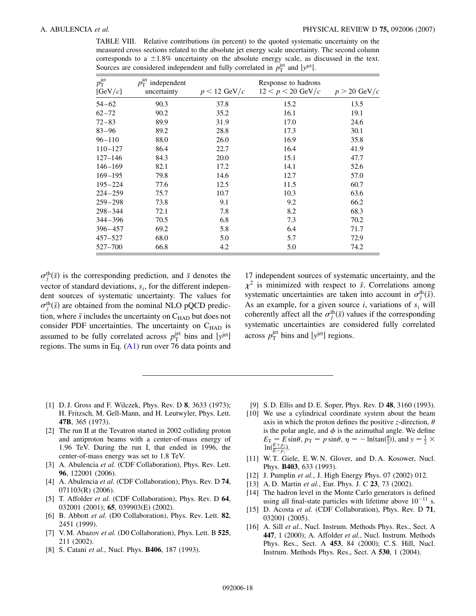<span id="page-17-0"></span>TABLE VIII. Relative contributions (in percent) to the quoted systematic uncertainty on the measured cross sections related to the absolute jet energy scale uncertainty. The second column corresponds to a  $\pm 1.8\%$  uncertainty on the absolute energy scale, as discussed in the text. Sources are considered independent and fully correlated in  $p_T^{\text{jet}}$  and  $|y^{\text{jet}}|$ .

| $p_{\text{T}}^{\text{jet}}$ | $p_{\rm T}^{\rm jet}$ independent |                        | Response to hadrons |                |
|-----------------------------|-----------------------------------|------------------------|---------------------|----------------|
| [GeV/c]                     | uncertainty                       | $p < 12 \text{ GeV}/c$ | $12 < p < 20$ GeV/c | $p > 20$ GeV/c |
| $54 - 62$                   | 90.3                              | 37.8                   | 15.2                | 13.5           |
| $62 - 72$                   | 90.2                              | 35.2                   | 16.1                | 19.1           |
| $72 - 83$                   | 89.9                              | 31.9                   | 17.0                | 24.6           |
| $83 - 96$                   | 89.2                              | 28.8                   | 17.3                | 30.1           |
| $96 - 110$                  | 88.0                              | 26.0                   | 16.9                | 35.8           |
| $110 - 127$                 | 86.4                              | 22.7                   | 16.4                | 41.9           |
| $127 - 146$                 | 84.3                              | 20.0                   | 15.1                | 47.7           |
| $146 - 169$                 | 82.1                              | 17.2                   | 14.1                | 52.6           |
| $169 - 195$                 | 79.8                              | 14.6                   | 12.7                | 57.0           |
| $195 - 224$                 | 77.6                              | 12.5                   | 11.5                | 60.7           |
| $224 - 259$                 | 75.7                              | 10.7                   | 10.3                | 63.6           |
| $259 - 298$                 | 73.8                              | 9.1                    | 9.2                 | 66.2           |
| $298 - 344$                 | 72.1                              | 7.8                    | 8.2                 | 68.3           |
| $344 - 396$                 | 70.5                              | 6.8                    | 7.3                 | 70.2           |
| $396 - 457$                 | 69.2                              | 5.8                    | 6.4                 | 71.7           |
| 457-527                     | 68.0                              | 5.0                    | 5.7                 | 72.9           |
| 527-700                     | 66.8                              | 4.2                    | 5.0                 | 74.2           |

 $\sigma_j^{\text{th}}(\bar{s})$  is the corresponding prediction, and  $\bar{s}$  denotes the vector of standard deviations,  $s_i$ , for the different independent sources of systematic uncertainty. The values for  $\sigma_j^{\text{th}}(\bar{s})$  are obtained from the nominal NLO pQCD prediction, where  $\bar{s}$  includes the uncertainty on  $C_{\text{HAD}}$  but does not consider PDF uncertainties. The uncertainty on  $C_{HAD}$  is assumed to be fully correlated across  $p_T^{\text{jet}}$  bins and  $|y^{\text{jet}}|$ regions. The sums in Eq. ([A1\)](#page-16-0) run over 76 data points and 17 independent sources of systematic uncertainty, and the  $\chi^2$  is minimized with respect to *s*. Correlations among systematic uncertainties are taken into account in  $\sigma_j^{\text{th}}(\bar{s})$ . As an example, for a given source  $i$ , variations of  $s_i$  will coherently affect all the  $\sigma_j^{\text{th}}(\bar{s})$  values if the corresponding systematic uncertainties are considered fully correlated across  $p_{\rm T}^{\rm jet}$  bins and  $|y^{\rm jet}|$  regions.

- [1] D. J. Gross and F. Wilczek, Phys. Rev. D **8**, 3633 (1973); H. Fritzsch, M. Gell-Mann, and H. Leutwyler, Phys. Lett. **47B**, 365 (1973).
- [2] The run II at the Tevatron started in 2002 colliding proton and antiproton beams with a center-of-mass energy of 1.96 TeV. During the run I, that ended in 1996, the center-of-mass energy was set to 1.8 TeV.
- [3] A. Abulencia et al. (CDF Collaboration), Phys. Rev. Lett. **96**, 122001 (2006).
- [4] A. Abulencia *et al.* (CDF Collaboration), Phys. Rev. D **74**, 071103(R) (2006).
- [5] T. Affolder *et al.* (CDF Collaboration), Phys. Rev. D **64**, 032001 (2001); **65**, 039903(E) (2002).
- [6] B. Abbott *et al.* (D0 Collaboration), Phys. Rev. Lett. **82**, 2451 (1999).
- [7] V. M. Abazov *et al.* (D0 Collaboration), Phys. Lett. B **525**, 211 (2002).
- [8] S. Catani *et al.*, Nucl. Phys. **B406**, 187 (1993).
- [9] S. D. Ellis and D. E. Soper, Phys. Rev. D **48**, 3160 (1993).
- [10] We use a cylindrical coordinate system about the beam axis in which the proton defines the positive *z*-direction,  $\theta$ is the polar angle, and  $\phi$  is the azimuthal angle. We define  $E_T = E \sin\theta$ ,  $p_T = p \sin\theta$ ,  $\eta = -\ln(\tan(\frac{\theta}{2}))$ , and  $y = \frac{1}{2} \times$  $\ln(\frac{E+p_z}{E-p_z}).$
- [11] W. T. Giele, E. W. N. Glover, and D. A. Kosower, Nucl. Phys. **B403**, 633 (1993).
- [12] J. Pumplin *et al.*, J. High Energy Phys. 07 (2002) 012.
- [13] A. D. Martin *et al.*, Eur. Phys. J. C **23**, 73 (2002).
- [14] The hadron level in the Monte Carlo generators is defined using all final-state particles with lifetime above  $10^{-11}$  s.
- [15] D. Acosta *et al.* (CDF Collaboration), Phys. Rev. D **71**, 032001 (2005).
- [16] A. Sill *et al.*, Nucl. Instrum. Methods Phys. Res., Sect. A **447**, 1 (2000); A. Affolder *et al.*, Nucl. Instrum. Methods Phys. Res., Sect. A **453**, 84 (2000); C. S. Hill, Nucl. Instrum. Methods Phys. Res., Sect. A **530**, 1 (2004).